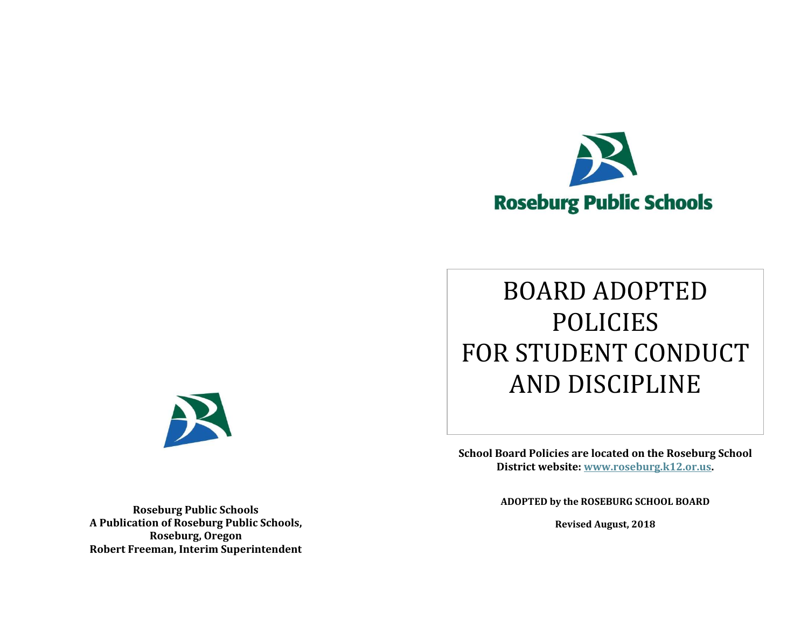

# BOARD ADOPTED POLICIES FOR STUDENT CONDUCT AND DISCIPLINE

**School Board Policies are located on the Roseburg School District website: [www.roseburg.k12.or.us.](http://www.roseburg.k12.or.us/)**

**ADOPTED by the ROSEBURG SCHOOL BOARD**

**Revised August, 2018**



**Roseburg Public Schools A Publication of Roseburg Public Schools, Roseburg, Oregon Robert Freeman, Interim Superintendent**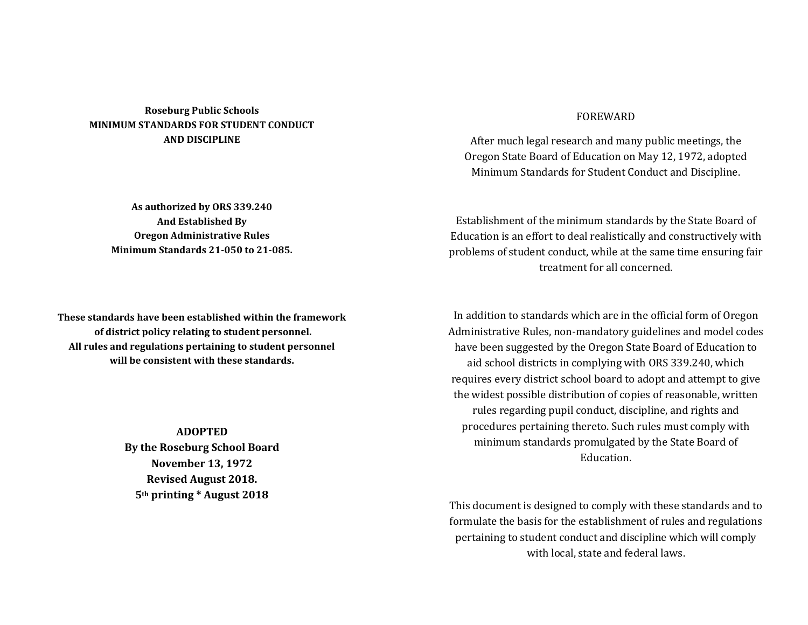# **Roseburg Public Schools MINIMUM STANDARDS FOR STUDENT CONDUCT AND DISCIPLINE**

**As authorized by ORS 339.240 And Established By Oregon Administrative Rules Minimum Standards 21-050 to 21-085.**

**These standards have been established within the framework of district policy relating to student personnel. All rules and regulations pertaining to student personnel will be consistent with these standards.**

> **ADOPTED By the Roseburg School Board November 13, 1972 Revised August 2018. 5th printing \* August 2018**

# FOREWARD

After much legal research and many public meetings, the Oregon State Board of Education on May 12, 1972, adopted Minimum Standards for Student Conduct and Discipline.

Establishment of the minimum standards by the State Board of Education is an effort to deal realistically and constructively with problems of student conduct, while at the same time ensuring fair treatment for all concerned.

In addition to standards which are in the official form of Oregon Administrative Rules, non-mandatory guidelines and model codes have been suggested by the Oregon State Board of Education to aid school districts in complying with ORS 339.240, which requires every district school board to adopt and attempt to give the widest possible distribution of copies of reasonable, written rules regarding pupil conduct, discipline, and rights and procedures pertaining thereto. Such rules must comply with minimum standards promulgated by the State Board of Education.

This document is designed to comply with these standards and to formulate the basis for the establishment of rules and regulations pertaining to student conduct and discipline which will comply with local, state and federal laws.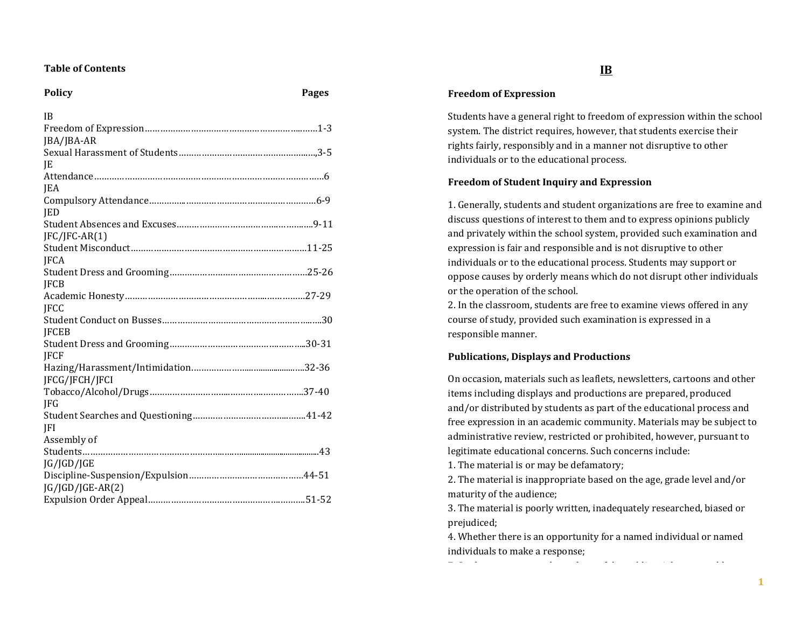# **Table of Contents**

# **Policy Pages**

| <b>IB</b>           |  |
|---------------------|--|
|                     |  |
| JBA/JBA-AR          |  |
|                     |  |
| IE                  |  |
|                     |  |
| <b>IEA</b>          |  |
|                     |  |
| <b>IED</b>          |  |
|                     |  |
| $[FC/IFC-AR(1)]$    |  |
|                     |  |
| <b>IFCA</b>         |  |
|                     |  |
| <b>IFCB</b>         |  |
|                     |  |
| <b>IFCC</b>         |  |
|                     |  |
| <b>JFCEB</b>        |  |
| <b>IFCF</b>         |  |
|                     |  |
| JFCG/JFCH/JFCI      |  |
|                     |  |
| <b>IFG</b>          |  |
|                     |  |
| <b>IFI</b>          |  |
| Assembly of         |  |
|                     |  |
| JG/JGD/JGE          |  |
|                     |  |
| $[G/IGD/IGE-AR(2)]$ |  |
|                     |  |
|                     |  |

#### **Freedom of Expression**

Students have a general right to freedom of expression within the school system. The district requires, however, that students exercise their rights fairly, responsibly and in a manner not disruptive to other individuals or to the educational process.

## **Freedom of Student Inquiry and Expression**

1. Generally, students and student organizations are free to examine and discuss questions of interest to them and to express opinions publicly and privately within the school system, provided such examination and expression is fair and responsible and is not disruptive to other individuals or to the educational process. Students may support or oppose causes by orderly means which do not disrupt other individuals or the operation of the school.

2. In the classroom, students are free to examine views offered in any course of study, provided such examination is expressed in a responsible manner.

## **Publications, Displays and Productions**

On occasion, materials such as leaflets, newsletters, cartoons and other items including displays and productions are prepared, produced and/or distributed by students as part of the educational process and free expression in an academic community. Materials may be subject to administrative review, restricted or prohibited, however, pursuant to legitimate educational concerns. Such concerns include:

1. The material is or may be defamatory;

2. The material is inappropriate based on the age, grade level and/or maturity of the audience;

3. The material is poorly written, inadequately researched, biased or prejudiced;

4. Whether there is an opportunity for a named individual or named individuals to make a response;

7. Students, parents and members of the public might reasonably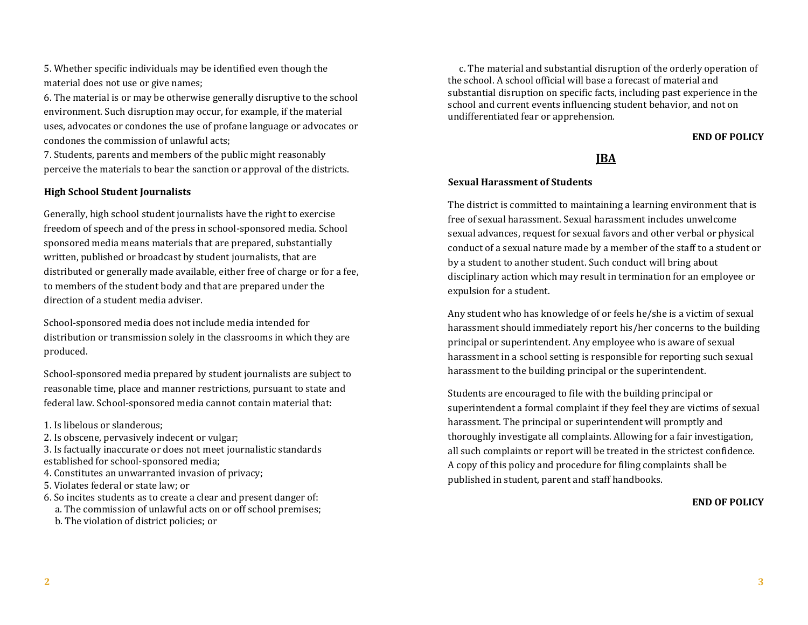5. Whether specific individuals may be identified even though the material does not use or give names;

6. The material is or may be otherwise generally disruptive to the school environment. Such disruption may occur, for example, if the material uses, advocates or condones the use of profane language or advocates or condones the commission of unlawful acts;

7. Students, parents and members of the public might reasonably perceive the materials to bear the sanction or approval of the districts.

# **High School Student Journalists**

Generally, high school student journalists have the right to exercise freedom of speech and of the press in school-sponsored media. School sponsored media means materials that are prepared, substantially written, published or broadcast by student journalists, that are distributed or generally made available, either free of charge or for a fee, to members of the student body and that are prepared under the direction of a student media adviser.

School-sponsored media does not include media intended for distribution or transmission solely in the classrooms in which they are produced.

School-sponsored media prepared by student journalists are subject to reasonable time, place and manner restrictions, pursuant to state and federal law. School-sponsored media cannot contain material that:

1. Is libelous or slanderous;

2. Is obscene, pervasively indecent or vulgar;

3. Is factually inaccurate or does not meet journalistic standards established for school-sponsored media;

4. Constitutes an unwarranted invasion of privacy;

- 5. Violates federal or state law; or
- 6. So incites students as to create a clear and present danger of:
- a. The commission of unlawful acts on or off school premises;
- b. The violation of district policies; or

 c. The material and substantial disruption of the orderly operation of the school. A school official will base a forecast of material and substantial disruption on specific facts, including past experience in the school and current events influencing student behavior, and not on undifferentiated fear or apprehension.

# **END OF POLICY**

# **JBA**

## **Sexual Harassment of Students**

The district is committed to maintaining a learning environment that is free of sexual harassment. Sexual harassment includes unwelcome sexual advances, request for sexual favors and other verbal or physical conduct of a sexual nature made by a member of the staff to a student or by a student to another student. Such conduct will bring about disciplinary action which may result in termination for an employee or expulsion for a student.

Any student who has knowledge of or feels he/she is a victim of sexual harassment should immediately report his/her concerns to the building principal or superintendent. Any employee who is aware of sexual harassment in a school setting is responsible for reporting such sexual harassment to the building principal or the superintendent.

Students are encouraged to file with the building principal or superintendent a formal complaint if they feel they are victims of sexual harassment. The principal or superintendent will promptly and thoroughly investigate all complaints. Allowing for a fair investigation, all such complaints or report will be treated in the strictest confidence. A copy of this policy and procedure for filing complaints shall be published in student, parent and staff handbooks.

#### **END OF POLICY**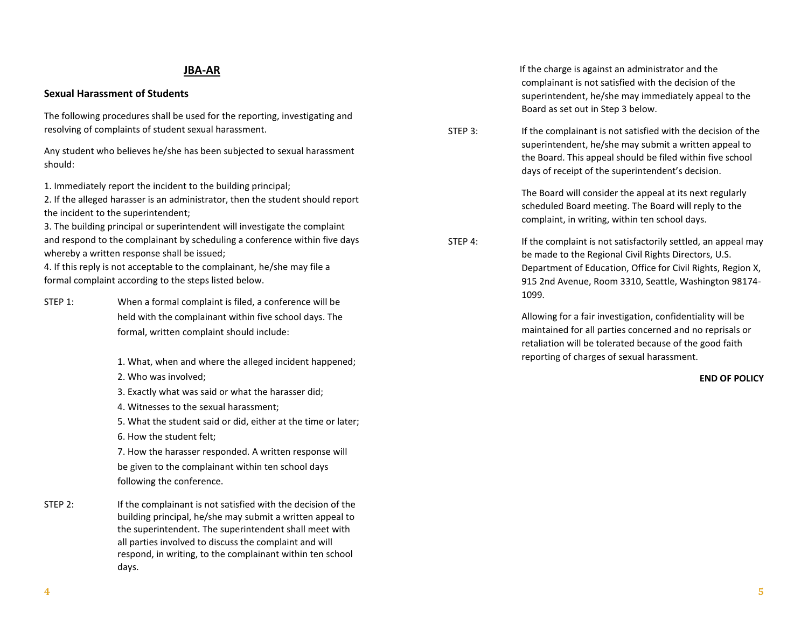# **JBA-AR**

## **Sexual Harassment of Students**

The following procedures shall be used for the reporting, investigating and resolving of complaints of student sexual harassment.

Any student who believes he/she has been subjected to sexual harassment should:

1. Immediately report the incident to the building principal;

2. If the alleged harasser is an administrator, then the student should report the incident to the superintendent;

3. The building principal or superintendent will investigate the complaint and respond to the complainant by scheduling a conference within five days whereby a written response shall be issued;

4. If this reply is not acceptable to the complainant, he/she may file a formal complaint according to the steps listed below.

- STEP 1: When a formal complaint is filed, a conference will be held with the complainant within five school days. The formal, written complaint should include:
	- 1. What, when and where the alleged incident happened;
	- 2. Who was involved;
	- 3. Exactly what was said or what the harasser did;
	- 4. Witnesses to the sexual harassment;

5. What the student said or did, either at the time or later;

6. How the student felt;

7. How the harasser responded. A written response will be given to the complainant within ten school days following the conference.

STEP 2: If the complainant is not satisfied with the decision of the building principal, he/she may submit a written appeal to the superintendent. The superintendent shall meet with all parties involved to discuss the complaint and will respond, in writing, to the complainant within ten school days.

 If the charge is against an administrator and the complainant is not satisfied with the decision of the superintendent, he/she may immediately appeal to the Board as set out in Step 3 below.

STEP 3: If the complainant is not satisfied with the decision of the superintendent, he/she may submit a written appeal to the Board. This appeal should be filed within five school days of receipt of the superintendent's decision.

> The Board will consider the appeal at its next regularly scheduled Board meeting. The Board will reply to the complaint, in writing, within ten school days.

STEP 4: If the complaint is not satisfactorily settled, an appeal may be made to the Regional Civil Rights Directors, U.S. Department of Education, Office for Civil Rights, Region X, 915 2nd Avenue, Room 3310, Seattle, Washington 98174- 1099.

> Allowing for a fair investigation, confidentiality will be maintained for all parties concerned and no reprisals or retaliation will be tolerated because of the good faith reporting of charges of sexual harassment.

> > **END OF POLICY**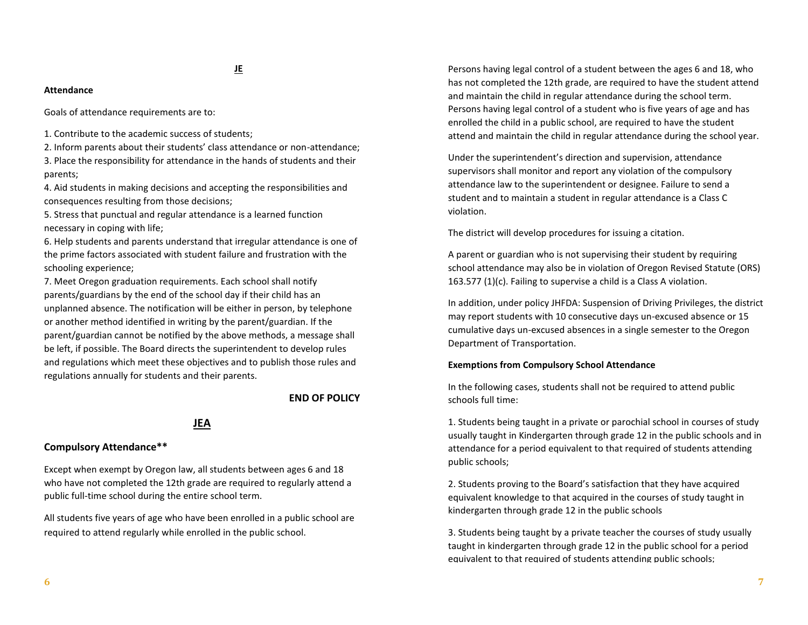#### **Attendance**

Goals of attendance requirements are to:

1. Contribute to the academic success of students;

2. Inform parents about their students' class attendance or non-attendance; 3. Place the responsibility for attendance in the hands of students and their parents;

4. Aid students in making decisions and accepting the responsibilities and consequences resulting from those decisions;

5. Stress that punctual and regular attendance is a learned function necessary in coping with life;

6. Help students and parents understand that irregular attendance is one of the prime factors associated with student failure and frustration with the schooling experience;

7. Meet Oregon graduation requirements. Each school shall notify parents/guardians by the end of the school day if their child has an unplanned absence. The notification will be either in person, by telephone or another method identified in writing by the parent/guardian. If the parent/guardian cannot be notified by the above methods, a message shall be left, if possible. The Board directs the superintendent to develop rules and regulations which meet these objectives and to publish those rules and regulations annually for students and their parents.

#### **END OF POLICY**

#### **JEA**

## **Compulsory Attendance\*\***

Except when exempt by Oregon law, all students between ages 6 and 18 who have not completed the 12th grade are required to regularly attend a public full-time school during the entire school term.

All students five years of age who have been enrolled in a public school are required to attend regularly while enrolled in the public school.

Persons having legal control of a student between the ages 6 and 18, who has not completed the 12th grade, are required to have the student attend and maintain the child in regular attendance during the school term. Persons having legal control of a student who is five years of age and has enrolled the child in a public school, are required to have the student attend and maintain the child in regular attendance during the school year.

Under the superintendent's direction and supervision, attendance supervisors shall monitor and report any violation of the compulsory attendance law to the superintendent or designee. Failure to send a student and to maintain a student in regular attendance is a Class C violation.

The district will develop procedures for issuing a citation.

A parent or guardian who is not supervising their student by requiring school attendance may also be in violation of Oregon Revised Statute (ORS) 163.577 (1)(c). Failing to supervise a child is a Class A violation.

In addition, under policy JHFDA: Suspension of Driving Privileges, the district may report students with 10 consecutive days un-excused absence or 15 cumulative days un-excused absences in a single semester to the Oregon Department of Transportation.

#### **Exemptions from Compulsory School Attendance**

In the following cases, students shall not be required to attend public schools full time:

1. Students being taught in a private or parochial school in courses of study usually taught in Kindergarten through grade 12 in the public schools and in attendance for a period equivalent to that required of students attending public schools;

2. Students proving to the Board's satisfaction that they have acquired equivalent knowledge to that acquired in the courses of study taught in kindergarten through grade 12 in the public schools

3. Students being taught by a private teacher the courses of study usually taught in kindergarten through grade 12 in the public school for a period equivalent to that required of students attending public schools;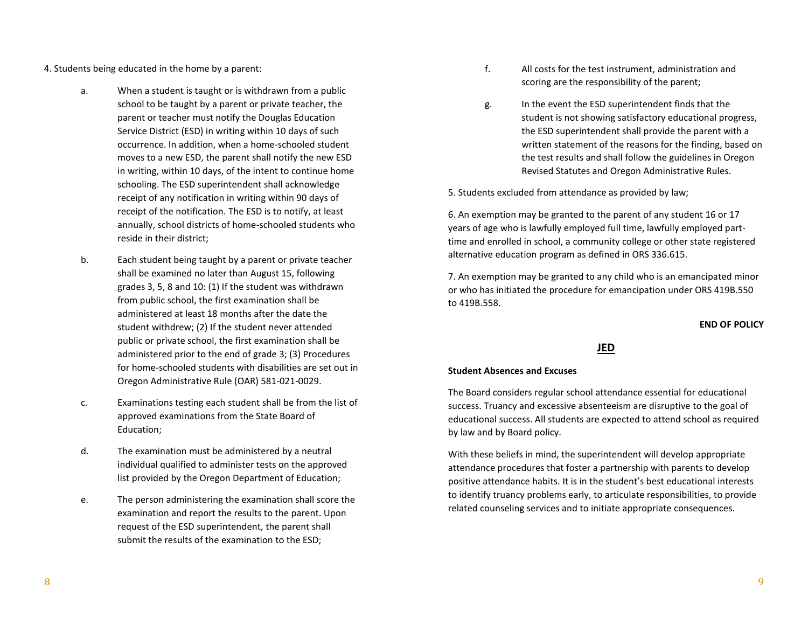4. Students being educated in the home by a parent:

- a. When a student is taught or is withdrawn from a public school to be taught by a parent or private teacher, the parent or teacher must notify the Douglas Education Service District (ESD) in writing within 10 days of such occurrence. In addition, when a home-schooled student moves to a new ESD, the parent shall notify the new ESD in writing, within 10 days, of the intent to continue home schooling. The ESD superintendent shall acknowledge receipt of any notification in writing within 90 days of receipt of the notification. The ESD is to notify, at least annually, school districts of home-schooled students who reside in their district;
- b. Each student being taught by a parent or private teacher shall be examined no later than August 15, following grades 3, 5, 8 and 10: (1) If the student was withdrawn from public school, the first examination shall be administered at least 18 months after the date the student withdrew; (2) If the student never attended public or private school, the first examination shall be administered prior to the end of grade 3; (3) Procedures for home-schooled students with disabilities are set out in Oregon Administrative Rule (OAR) 581-021-0029.
- c. Examinations testing each student shall be from the list of approved examinations from the State Board of Education;
- d. The examination must be administered by a neutral individual qualified to administer tests on the approved list provided by the Oregon Department of Education;
- e. The person administering the examination shall score the examination and report the results to the parent. Upon request of the ESD superintendent, the parent shall submit the results of the examination to the ESD;
- f. All costs for the test instrument, administration and scoring are the responsibility of the parent;
- g. In the event the ESD superintendent finds that the student is not showing satisfactory educational progress, the ESD superintendent shall provide the parent with a written statement of the reasons for the finding, based on the test results and shall follow the guidelines in Oregon Revised Statutes and Oregon Administrative Rules.

5. Students excluded from attendance as provided by law;

6. An exemption may be granted to the parent of any student 16 or 17 years of age who is lawfully employed full time, lawfully employed parttime and enrolled in school, a community college or other state registered alternative education program as defined in ORS 336.615.

7. An exemption may be granted to any child who is an emancipated minor or who has initiated the procedure for emancipation under ORS 419B.550 to 419B.558.

**END OF POLICY**

**JED**

#### **Student Absences and Excuses**

The Board considers regular school attendance essential for educational success. Truancy and excessive absenteeism are disruptive to the goal of educational success. All students are expected to attend school as required by law and by Board policy.

With these beliefs in mind, the superintendent will develop appropriate attendance procedures that foster a partnership with parents to develop positive attendance habits. It is in the student's best educational interests to identify truancy problems early, to articulate responsibilities, to provide related counseling services and to initiate appropriate consequences.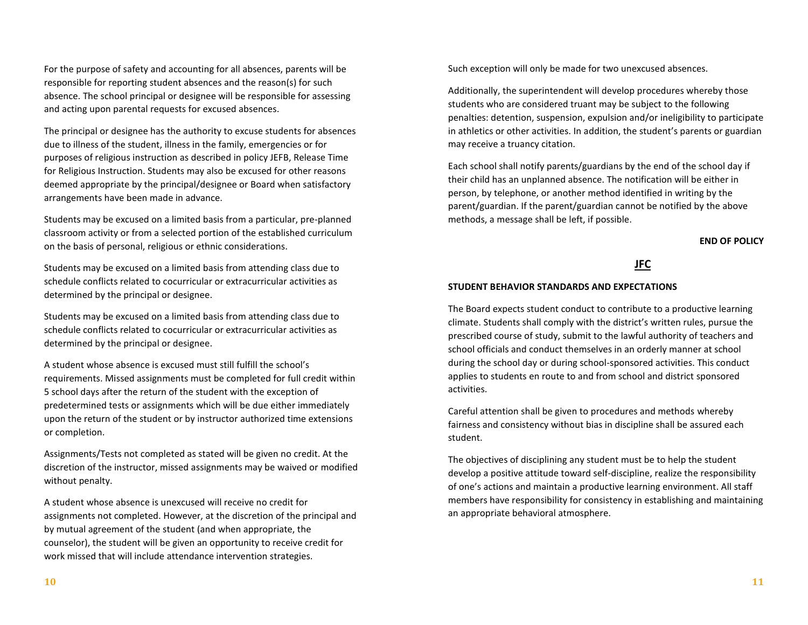For the purpose of safety and accounting for all absences, parents will be responsible for reporting student absences and the reason(s) for such absence. The school principal or designee will be responsible for assessing and acting upon parental requests for excused absences.

The principal or designee has the authority to excuse students for absences due to illness of the student, illness in the family, emergencies or for purposes of religious instruction as described in policy JEFB, Release Time for Religious Instruction. Students may also be excused for other reasons deemed appropriate by the principal/designee or Board when satisfactory arrangements have been made in advance.

Students may be excused on a limited basis from a particular, pre-planned classroom activity or from a selected portion of the established curriculum on the basis of personal, religious or ethnic considerations.

Students may be excused on a limited basis from attending class due to schedule conflicts related to cocurricular or extracurricular activities as determined by the principal or designee.

Students may be excused on a limited basis from attending class due to schedule conflicts related to cocurricular or extracurricular activities as determined by the principal or designee.

A student whose absence is excused must still fulfill the school's requirements. Missed assignments must be completed for full credit within 5 school days after the return of the student with the exception of predetermined tests or assignments which will be due either immediately upon the return of the student or by instructor authorized time extensions or completion.

Assignments/Tests not completed as stated will be given no credit. At the discretion of the instructor, missed assignments may be waived or modified without penalty.

A student whose absence is unexcused will receive no credit for assignments not completed. However, at the discretion of the principal and by mutual agreement of the student (and when appropriate, the counselor), the student will be given an opportunity to receive credit for work missed that will include attendance intervention strategies.

Such exception will only be made for two unexcused absences.

Additionally, the superintendent will develop procedures whereby those students who are considered truant may be subject to the following penalties: detention, suspension, expulsion and/or ineligibility to participate in athletics or other activities. In addition, the student's parents or guardian may receive a truancy citation.

Each school shall notify parents/guardians by the end of the school day if their child has an unplanned absence. The notification will be either in person, by telephone, or another method identified in writing by the parent/guardian. If the parent/guardian cannot be notified by the above methods, a message shall be left, if possible.

**END OF POLICY**



#### **STUDENT BEHAVIOR STANDARDS AND EXPECTATIONS**

The Board expects student conduct to contribute to a productive learning climate. Students shall comply with the district's written rules, pursue the prescribed course of study, submit to the lawful authority of teachers and school officials and conduct themselves in an orderly manner at school during the school day or during school-sponsored activities. This conduct applies to students en route to and from school and district sponsored activities.

Careful attention shall be given to procedures and methods whereby fairness and consistency without bias in discipline shall be assured each student.

The objectives of disciplining any student must be to help the student develop a positive attitude toward self-discipline, realize the responsibility of one's actions and maintain a productive learning environment. All staff members have responsibility for consistency in establishing and maintaining an appropriate behavioral atmosphere.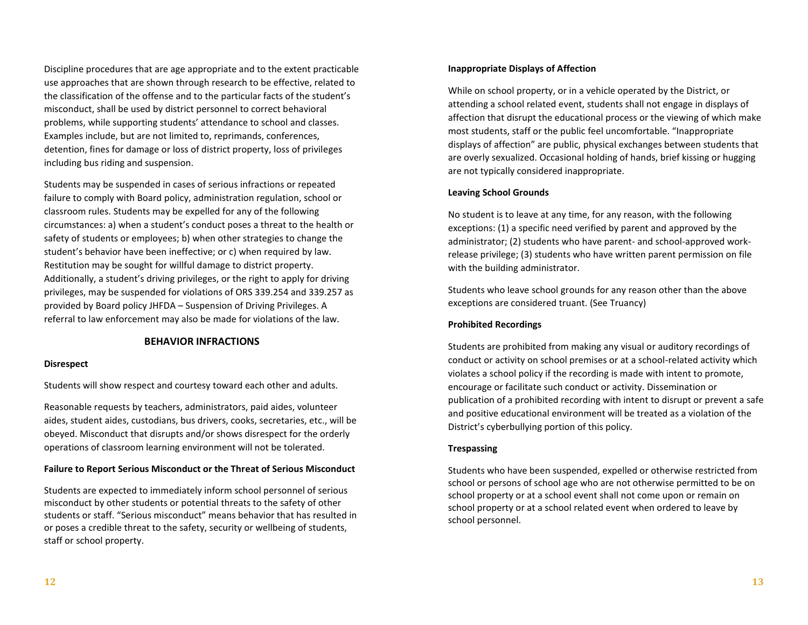Discipline procedures that are age appropriate and to the extent practicable use approaches that are shown through research to be effective, related to the classification of the offense and to the particular facts of the student's misconduct, shall be used by district personnel to correct behavioral problems, while supporting students' attendance to school and classes. Examples include, but are not limited to, reprimands, conferences, detention, fines for damage or loss of district property, loss of privileges including bus riding and suspension.

Students may be suspended in cases of serious infractions or repeated failure to comply with Board policy, administration regulation, school or classroom rules. Students may be expelled for any of the following circumstances: a) when a student's conduct poses a threat to the health or safety of students or employees; b) when other strategies to change the student's behavior have been ineffective; or c) when required by law. Restitution may be sought for willful damage to district property. Additionally, a student's driving privileges, or the right to apply for driving privileges, may be suspended for violations of ORS 339.254 and 339.257 as provided by Board policy JHFDA – Suspension of Driving Privileges. A referral to law enforcement may also be made for violations of the law.

#### **BEHAVIOR INFRACTIONS**

#### **Disrespect**

Students will show respect and courtesy toward each other and adults.

Reasonable requests by teachers, administrators, paid aides, volunteer aides, student aides, custodians, bus drivers, cooks, secretaries, etc., will be obeyed. Misconduct that disrupts and/or shows disrespect for the orderly operations of classroom learning environment will not be tolerated.

#### **Failure to Report Serious Misconduct or the Threat of Serious Misconduct**

Students are expected to immediately inform school personnel of serious misconduct by other students or potential threats to the safety of other students or staff. "Serious misconduct" means behavior that has resulted in or poses a credible threat to the safety, security or wellbeing of students, staff or school property.

#### **Inappropriate Displays of Affection**

While on school property, or in a vehicle operated by the District, or attending a school related event, students shall not engage in displays of affection that disrupt the educational process or the viewing of which make most students, staff or the public feel uncomfortable. "Inappropriate displays of affection" are public, physical exchanges between students that are overly sexualized. Occasional holding of hands, brief kissing or hugging are not typically considered inappropriate.

#### **Leaving School Grounds**

No student is to leave at any time, for any reason, with the following exceptions: (1) a specific need verified by parent and approved by the administrator; (2) students who have parent- and school-approved workrelease privilege; (3) students who have written parent permission on file with the building administrator.

Students who leave school grounds for any reason other than the above exceptions are considered truant. (See Truancy)

#### **Prohibited Recordings**

Students are prohibited from making any visual or auditory recordings of conduct or activity on school premises or at a school-related activity which violates a school policy if the recording is made with intent to promote, encourage or facilitate such conduct or activity. Dissemination or publication of a prohibited recording with intent to disrupt or prevent a safe and positive educational environment will be treated as a violation of the District's cyberbullying portion of this policy.

#### **Trespassing**

Students who have been suspended, expelled or otherwise restricted from school or persons of school age who are not otherwise permitted to be on school property or at a school event shall not come upon or remain on school property or at a school related event when ordered to leave by school personnel.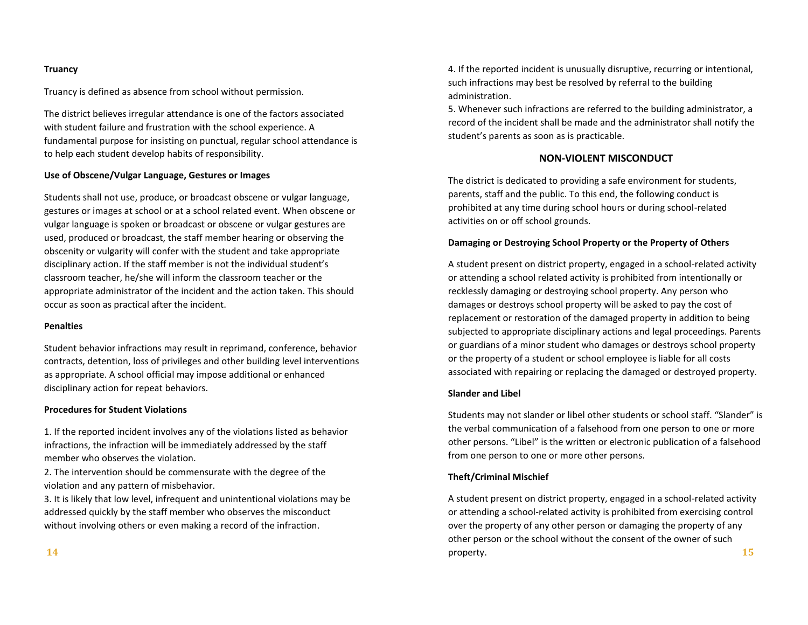#### **Truancy**

Truancy is defined as absence from school without permission.

The district believes irregular attendance is one of the factors associated with student failure and frustration with the school experience. A fundamental purpose for insisting on punctual, regular school attendance is to help each student develop habits of responsibility.

#### **Use of Obscene/Vulgar Language, Gestures or Images**

Students shall not use, produce, or broadcast obscene or vulgar language, gestures or images at school or at a school related event. When obscene or vulgar language is spoken or broadcast or obscene or vulgar gestures are used, produced or broadcast, the staff member hearing or observing the obscenity or vulgarity will confer with the student and take appropriate disciplinary action. If the staff member is not the individual student's classroom teacher, he/she will inform the classroom teacher or the appropriate administrator of the incident and the action taken. This should occur as soon as practical after the incident.

#### **Penalties**

Student behavior infractions may result in reprimand, conference, behavior contracts, detention, loss of privileges and other building level interventions as appropriate. A school official may impose additional or enhanced disciplinary action for repeat behaviors.

#### **Procedures for Student Violations**

1. If the reported incident involves any of the violations listed as behavior infractions, the infraction will be immediately addressed by the staff member who observes the violation.

2. The intervention should be commensurate with the degree of the violation and any pattern of misbehavior.

3. It is likely that low level, infrequent and unintentional violations may be addressed quickly by the staff member who observes the misconduct without involving others or even making a record of the infraction.

4. If the reported incident is unusually disruptive, recurring or intentional, such infractions may best be resolved by referral to the building administration.

5. Whenever such infractions are referred to the building administrator, a record of the incident shall be made and the administrator shall notify the student's parents as soon as is practicable.

# **NON-VIOLENT MISCONDUCT**

The district is dedicated to providing a safe environment for students, parents, staff and the public. To this end, the following conduct is prohibited at any time during school hours or during school-related activities on or off school grounds.

#### **Damaging or Destroying School Property or the Property of Others**

A student present on district property, engaged in a school-related activity or attending a school related activity is prohibited from intentionally or recklessly damaging or destroying school property. Any person who damages or destroys school property will be asked to pay the cost of replacement or restoration of the damaged property in addition to being subjected to appropriate disciplinary actions and legal proceedings. Parents or guardians of a minor student who damages or destroys school property or the property of a student or school employee is liable for all costs associated with repairing or replacing the damaged or destroyed property.

#### **Slander and Libel**

Students may not slander or libel other students or school staff. "Slander" is the verbal communication of a falsehood from one person to one or more other persons. "Libel" is the written or electronic publication of a falsehood from one person to one or more other persons.

#### **Theft/Criminal Mischief**

A student present on district property, engaged in a school-related activity or attending a school-related activity is prohibited from exercising control over the property of any other person or damaging the property of any other person or the school without the consent of the owner of such property. **15**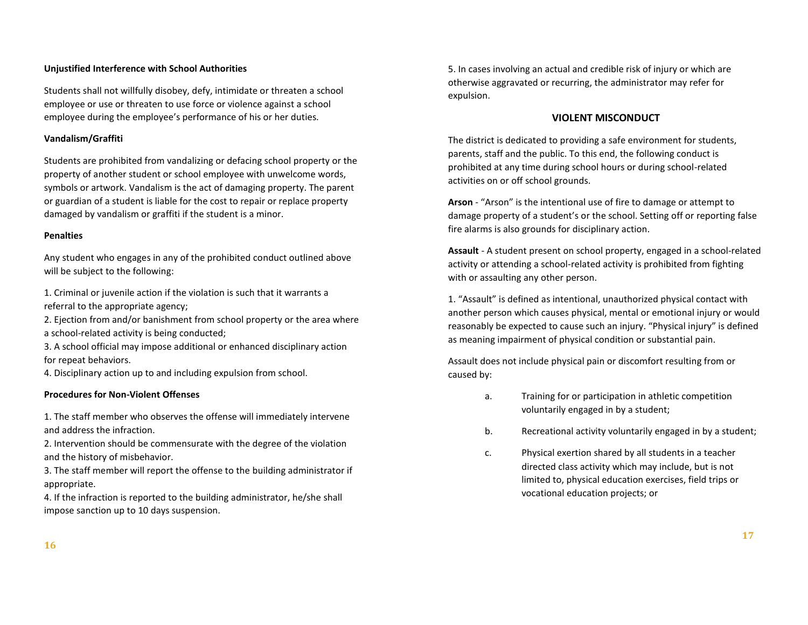## **Unjustified Interference with School Authorities**

Students shall not willfully disobey, defy, intimidate or threaten a school employee or use or threaten to use force or violence against a school employee during the employee's performance of his or her duties.

## **Vandalism/Graffiti**

Students are prohibited from vandalizing or defacing school property or the property of another student or school employee with unwelcome words, symbols or artwork. Vandalism is the act of damaging property. The parent or guardian of a student is liable for the cost to repair or replace property damaged by vandalism or graffiti if the student is a minor.

## **Penalties**

Any student who engages in any of the prohibited conduct outlined above will be subject to the following:

1. Criminal or juvenile action if the violation is such that it warrants a referral to the appropriate agency;

2. Ejection from and/or banishment from school property or the area where a school-related activity is being conducted;

3. A school official may impose additional or enhanced disciplinary action for repeat behaviors.

4. Disciplinary action up to and including expulsion from school.

#### **Procedures for Non-Violent Offenses**

1. The staff member who observes the offense will immediately intervene and address the infraction.

2. Intervention should be commensurate with the degree of the violation and the history of misbehavior.

3. The staff member will report the offense to the building administrator if appropriate.

4. If the infraction is reported to the building administrator, he/she shall impose sanction up to 10 days suspension.

5. In cases involving an actual and credible risk of injury or which are otherwise aggravated or recurring, the administrator may refer for expulsion.

#### **VIOLENT MISCONDUCT**

The district is dedicated to providing a safe environment for students, parents, staff and the public. To this end, the following conduct is prohibited at any time during school hours or during school-related activities on or off school grounds.

**Arson** - "Arson" is the intentional use of fire to damage or attempt to damage property of a student's or the school. Setting off or reporting false fire alarms is also grounds for disciplinary action.

**Assault** - A student present on school property, engaged in a school-related activity or attending a school-related activity is prohibited from fighting with or assaulting any other person.

1. "Assault" is defined as intentional, unauthorized physical contact with another person which causes physical, mental or emotional injury or would reasonably be expected to cause such an injury. "Physical injury" is defined as meaning impairment of physical condition or substantial pain.

Assault does not include physical pain or discomfort resulting from or caused by:

- a. Training for or participation in athletic competition voluntarily engaged in by a student;
- b. Recreational activity voluntarily engaged in by a student;
- c. Physical exertion shared by all students in a teacher directed class activity which may include, but is not limited to, physical education exercises, field trips or vocational education projects; or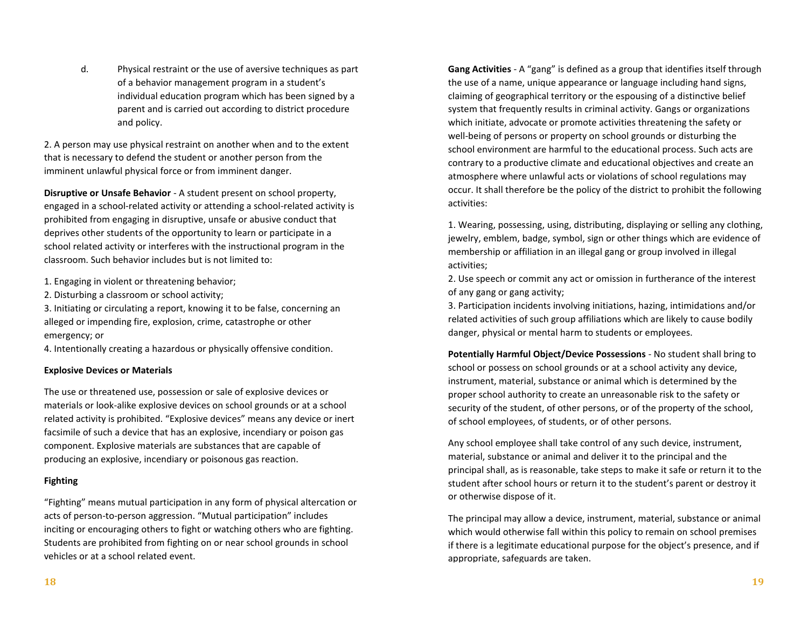d. Physical restraint or the use of aversive techniques as part of a behavior management program in a student's individual education program which has been signed by a parent and is carried out according to district procedure and policy.

2. A person may use physical restraint on another when and to the extent that is necessary to defend the student or another person from the imminent unlawful physical force or from imminent danger.

**Disruptive or Unsafe Behavior** - A student present on school property, engaged in a school-related activity or attending a school-related activity is prohibited from engaging in disruptive, unsafe or abusive conduct that deprives other students of the opportunity to learn or participate in a school related activity or interferes with the instructional program in the classroom. Such behavior includes but is not limited to:

- 1. Engaging in violent or threatening behavior;
- 2. Disturbing a classroom or school activity;

3. Initiating or circulating a report, knowing it to be false, concerning an alleged or impending fire, explosion, crime, catastrophe or other emergency; or

4. Intentionally creating a hazardous or physically offensive condition.

## **Explosive Devices or Materials**

The use or threatened use, possession or sale of explosive devices or materials or look-alike explosive devices on school grounds or at a school related activity is prohibited. "Explosive devices" means any device or inert facsimile of such a device that has an explosive, incendiary or poison gas component. Explosive materials are substances that are capable of producing an explosive, incendiary or poisonous gas reaction.

## **Fighting**

"Fighting" means mutual participation in any form of physical altercation or acts of person-to-person aggression. "Mutual participation" includes inciting or encouraging others to fight or watching others who are fighting. Students are prohibited from fighting on or near school grounds in school vehicles or at a school related event.

**Gang Activities** - A "gang" is defined as a group that identifies itself through the use of a name, unique appearance or language including hand signs, claiming of geographical territory or the espousing of a distinctive belief system that frequently results in criminal activity. Gangs or organizations which initiate, advocate or promote activities threatening the safety or well-being of persons or property on school grounds or disturbing the school environment are harmful to the educational process. Such acts are contrary to a productive climate and educational objectives and create an atmosphere where unlawful acts or violations of school regulations may occur. It shall therefore be the policy of the district to prohibit the following activities:

1. Wearing, possessing, using, distributing, displaying or selling any clothing, jewelry, emblem, badge, symbol, sign or other things which are evidence of membership or affiliation in an illegal gang or group involved in illegal activities;

2. Use speech or commit any act or omission in furtherance of the interest of any gang or gang activity;

3. Participation incidents involving initiations, hazing, intimidations and/or related activities of such group affiliations which are likely to cause bodily danger, physical or mental harm to students or employees.

**Potentially Harmful Object/Device Possessions** - No student shall bring to school or possess on school grounds or at a school activity any device, instrument, material, substance or animal which is determined by the proper school authority to create an unreasonable risk to the safety or security of the student, of other persons, or of the property of the school, of school employees, of students, or of other persons.

Any school employee shall take control of any such device, instrument, material, substance or animal and deliver it to the principal and the principal shall, as is reasonable, take steps to make it safe or return it to the student after school hours or return it to the student's parent or destroy it or otherwise dispose of it.

The principal may allow a device, instrument, material, substance or animal which would otherwise fall within this policy to remain on school premises if there is a legitimate educational purpose for the object's presence, and if appropriate, safeguards are taken.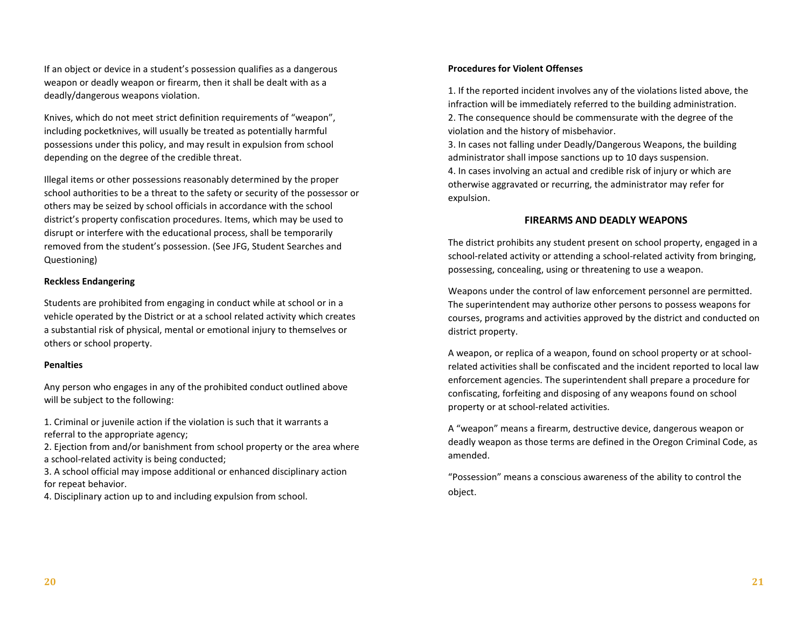If an object or device in a student's possession qualifies as a dangerous weapon or deadly weapon or firearm, then it shall be dealt with as a deadly/dangerous weapons violation.

Knives, which do not meet strict definition requirements of "weapon", including pocketknives, will usually be treated as potentially harmful possessions under this policy, and may result in expulsion from school depending on the degree of the credible threat.

Illegal items or other possessions reasonably determined by the proper school authorities to be a threat to the safety or security of the possessor or others may be seized by school officials in accordance with the school district's property confiscation procedures. Items, which may be used to disrupt or interfere with the educational process, shall be temporarily removed from the student's possession. (See JFG, Student Searches and Questioning)

#### **Reckless Endangering**

Students are prohibited from engaging in conduct while at school or in a vehicle operated by the District or at a school related activity which creates a substantial risk of physical, mental or emotional injury to themselves or others or school property.

#### **Penalties**

Any person who engages in any of the prohibited conduct outlined above will be subject to the following:

1. Criminal or juvenile action if the violation is such that it warrants a referral to the appropriate agency;

2. Ejection from and/or banishment from school property or the area where a school-related activity is being conducted;

3. A school official may impose additional or enhanced disciplinary action for repeat behavior.

4. Disciplinary action up to and including expulsion from school.

## **Procedures for Violent Offenses**

1. If the reported incident involves any of the violations listed above, the infraction will be immediately referred to the building administration. 2. The consequence should be commensurate with the degree of the violation and the history of misbehavior.

3. In cases not falling under Deadly/Dangerous Weapons, the building administrator shall impose sanctions up to 10 days suspension.

4. In cases involving an actual and credible risk of injury or which are otherwise aggravated or recurring, the administrator may refer for expulsion.

## **FIREARMS AND DEADLY WEAPONS**

The district prohibits any student present on school property, engaged in a school-related activity or attending a school-related activity from bringing, possessing, concealing, using or threatening to use a weapon.

Weapons under the control of law enforcement personnel are permitted. The superintendent may authorize other persons to possess weapons for courses, programs and activities approved by the district and conducted on district property.

A weapon, or replica of a weapon, found on school property or at schoolrelated activities shall be confiscated and the incident reported to local law enforcement agencies. The superintendent shall prepare a procedure for confiscating, forfeiting and disposing of any weapons found on school property or at school-related activities.

A "weapon" means a firearm, destructive device, dangerous weapon or deadly weapon as those terms are defined in the Oregon Criminal Code, as amended.

"Possession" means a conscious awareness of the ability to control the object.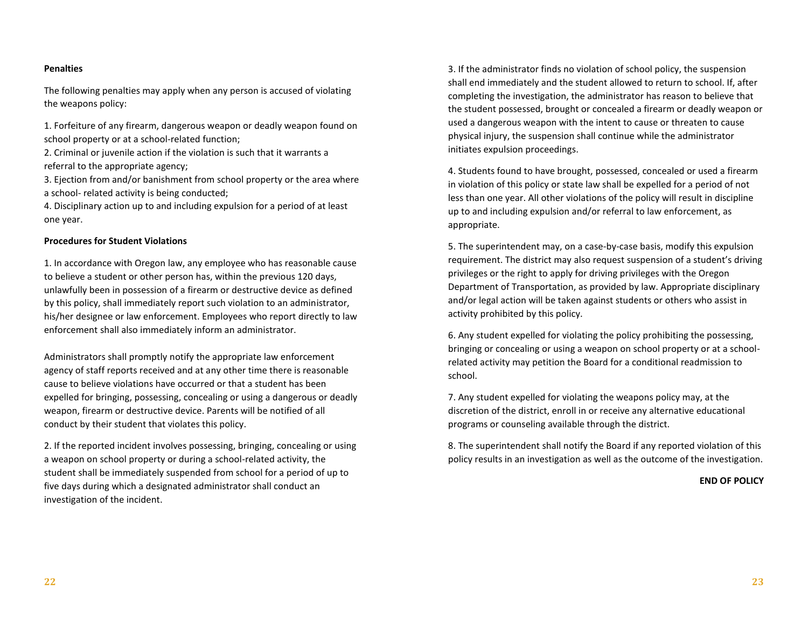#### **Penalties**

The following penalties may apply when any person is accused of violating the weapons policy:

1. Forfeiture of any firearm, dangerous weapon or deadly weapon found on school property or at a school-related function;

2. Criminal or juvenile action if the violation is such that it warrants a referral to the appropriate agency;

3. Ejection from and/or banishment from school property or the area where a school- related activity is being conducted;

4. Disciplinary action up to and including expulsion for a period of at least one year.

#### **Procedures for Student Violations**

1. In accordance with Oregon law, any employee who has reasonable cause to believe a student or other person has, within the previous 120 days, unlawfully been in possession of a firearm or destructive device as defined by this policy, shall immediately report such violation to an administrator, his/her designee or law enforcement. Employees who report directly to law enforcement shall also immediately inform an administrator.

Administrators shall promptly notify the appropriate law enforcement agency of staff reports received and at any other time there is reasonable cause to believe violations have occurred or that a student has been expelled for bringing, possessing, concealing or using a dangerous or deadly weapon, firearm or destructive device. Parents will be notified of all conduct by their student that violates this policy.

2. If the reported incident involves possessing, bringing, concealing or using a weapon on school property or during a school-related activity, the student shall be immediately suspended from school for a period of up to five days during which a designated administrator shall conduct an investigation of the incident.

3. If the administrator finds no violation of school policy, the suspension shall end immediately and the student allowed to return to school. If, after completing the investigation, the administrator has reason to believe that the student possessed, brought or concealed a firearm or deadly weapon or used a dangerous weapon with the intent to cause or threaten to cause physical injury, the suspension shall continue while the administrator initiates expulsion proceedings.

4. Students found to have brought, possessed, concealed or used a firearm in violation of this policy or state law shall be expelled for a period of not less than one year. All other violations of the policy will result in discipline up to and including expulsion and/or referral to law enforcement, as appropriate.

5. The superintendent may, on a case-by-case basis, modify this expulsion requirement. The district may also request suspension of a student's driving privileges or the right to apply for driving privileges with the Oregon Department of Transportation, as provided by law. Appropriate disciplinary and/or legal action will be taken against students or others who assist in activity prohibited by this policy.

6. Any student expelled for violating the policy prohibiting the possessing, bringing or concealing or using a weapon on school property or at a schoolrelated activity may petition the Board for a conditional readmission to school.

7. Any student expelled for violating the weapons policy may, at the discretion of the district, enroll in or receive any alternative educational programs or counseling available through the district.

8. The superintendent shall notify the Board if any reported violation of this policy results in an investigation as well as the outcome of the investigation.

**END OF POLICY**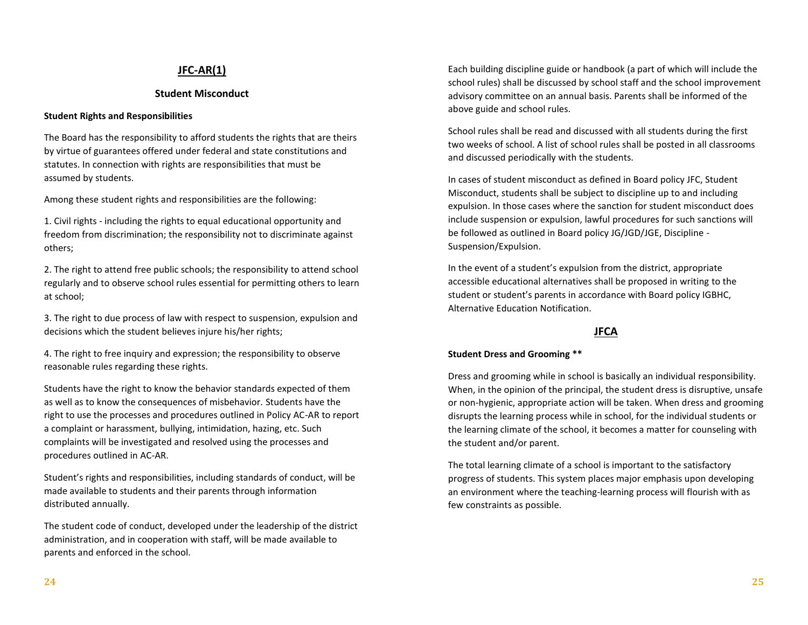# **JFC-AR(1)**

# **Student Misconduct**

## **Student Rights and Responsibilities**

The Board has the responsibility to afford students the rights that are theirs by virtue of guarantees offered under federal and state constitutions and statutes. In connection with rights are responsibilities that must be assumed by students.

Among these student rights and responsibilities are the following:

1. Civil rights - including the rights to equal educational opportunity and freedom from discrimination; the responsibility not to discriminate against others;

2. The right to attend free public schools; the responsibility to attend school regularly and to observe school rules essential for permitting others to learn at school;

3. The right to due process of law with respect to suspension, expulsion and decisions which the student believes injure his/her rights;

4. The right to free inquiry and expression; the responsibility to observe reasonable rules regarding these rights.

Students have the right to know the behavior standards expected of them as well as to know the consequences of misbehavior. Students have the right to use the processes and procedures outlined in Policy AC-AR to report a complaint or harassment, bullying, intimidation, hazing, etc. Such complaints will be investigated and resolved using the processes and procedures outlined in AC-AR.

Student's rights and responsibilities, including standards of conduct, will be made available to students and their parents through information distributed annually.

The student code of conduct, developed under the leadership of the district administration, and in cooperation with staff, will be made available to parents and enforced in the school.

Each building discipline guide or handbook (a part of which will include the school rules) shall be discussed by school staff and the school improvement advisory committee on an annual basis. Parents shall be informed of the above guide and school rules.

School rules shall be read and discussed with all students during the first two weeks of school. A list of school rules shall be posted in all classrooms and discussed periodically with the students.

In cases of student misconduct as defined in Board policy JFC, Student Misconduct, students shall be subject to discipline up to and including expulsion. In those cases where the sanction for student misconduct does include suspension or expulsion, lawful procedures for such sanctions will be followed as outlined in Board policy JG/JGD/JGE, Discipline - Suspension/Expulsion.

In the event of a student's expulsion from the district, appropriate accessible educational alternatives shall be proposed in writing to the student or student's parents in accordance with Board policy IGBHC, Alternative Education Notification.

# **JFCA**

#### **Student Dress and Grooming \*\***

Dress and grooming while in school is basically an individual responsibility. When, in the opinion of the principal, the student dress is disruptive, unsafe or non-hygienic, appropriate action will be taken. When dress and grooming disrupts the learning process while in school, for the individual students or the learning climate of the school, it becomes a matter for counseling with the student and/or parent.

The total learning climate of a school is important to the satisfactory progress of students. This system places major emphasis upon developing an environment where the teaching-learning process will flourish with as few constraints as possible.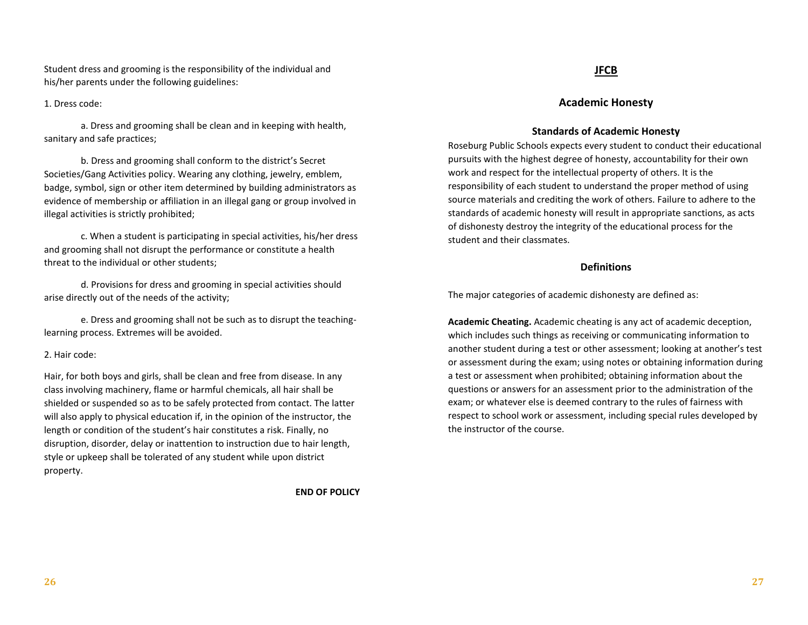Student dress and grooming is the responsibility of the individual and his/her parents under the following guidelines:

#### 1. Dress code:

a. Dress and grooming shall be clean and in keeping with health, sanitary and safe practices;

b. Dress and grooming shall conform to the district's Secret Societies/Gang Activities policy. Wearing any clothing, jewelry, emblem, badge, symbol, sign or other item determined by building administrators as evidence of membership or affiliation in an illegal gang or group involved in illegal activities is strictly prohibited;

c. When a student is participating in special activities, his/her dress and grooming shall not disrupt the performance or constitute a health threat to the individual or other students;

d. Provisions for dress and grooming in special activities should arise directly out of the needs of the activity;

e. Dress and grooming shall not be such as to disrupt the teachinglearning process. Extremes will be avoided.

#### 2. Hair code:

Hair, for both boys and girls, shall be clean and free from disease. In any class involving machinery, flame or harmful chemicals, all hair shall be shielded or suspended so as to be safely protected from contact. The latter will also apply to physical education if, in the opinion of the instructor, the length or condition of the student's hair constitutes a risk. Finally, no disruption, disorder, delay or inattention to instruction due to hair length, style or upkeep shall be tolerated of any student while upon district property.

**END OF POLICY**

## **JFCB**

# **Academic Honesty**

#### **Standards of Academic Honesty**

Roseburg Public Schools expects every student to conduct their educational pursuits with the highest degree of honesty, accountability for their own work and respect for the intellectual property of others. It is the responsibility of each student to understand the proper method of using source materials and crediting the work of others. Failure to adhere to the standards of academic honesty will result in appropriate sanctions, as acts of dishonesty destroy the integrity of the educational process for the student and their classmates.

#### **Definitions**

The major categories of academic dishonesty are defined as:

**Academic Cheating.** Academic cheating is any act of academic deception, which includes such things as receiving or communicating information to another student during a test or other assessment; looking at another's test or assessment during the exam; using notes or obtaining information during a test or assessment when prohibited; obtaining information about the questions or answers for an assessment prior to the administration of the exam; or whatever else is deemed contrary to the rules of fairness with respect to school work or assessment, including special rules developed by the instructor of the course.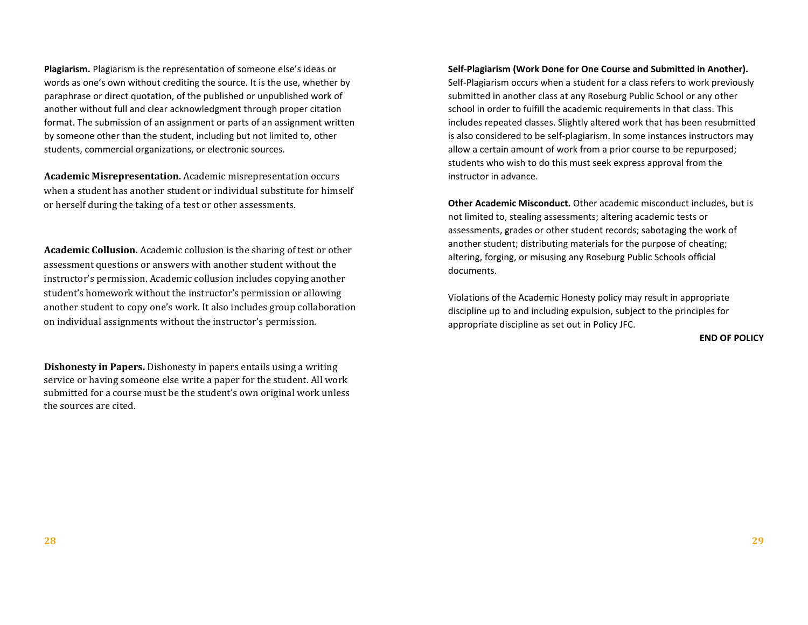**Plagiarism.** Plagiarism is the representation of someone else's ideas or words as one's own without crediting the source. It is the use, whether by paraphrase or direct quotation, of the published or unpublished work of another without full and clear acknowledgment through proper citation format. The submission of an assignment or parts of an assignment written by someone other than the student, including but not limited to, other students, commercial organizations, or electronic sources.

**Academic Misrepresentation.** Academic misrepresentation occurs when a student has another student or individual substitute for himself or herself during the taking of a test or other assessments.

**Academic Collusion.** Academic collusion is the sharing of test or other assessment questions or answers with another student without the instructor's permission. Academic collusion includes copying another student's homework without the instructor's permission or allowing another student to copy one's work. It also includes group collaboration on individual assignments without the instructor's permission.

**Dishonesty in Papers.** Dishonesty in papers entails using a writing service or having someone else write a paper for the student. All work submitted for a course must be the student's own original work unless the sources are cited.

**Self-Plagiarism (Work Done for One Course and Submitted in Another).** Self-Plagiarism occurs when a student for a class refers to work previously submitted in another class at any Roseburg Public School or any other school in order to fulfill the academic requirements in that class. This includes repeated classes. Slightly altered work that has been resubmitted is also considered to be self-plagiarism. In some instances instructors may allow a certain amount of work from a prior course to be repurposed; students who wish to do this must seek express approval from the instructor in advance.

**Other Academic Misconduct.** Other academic misconduct includes, but is not limited to, stealing assessments; altering academic tests or assessments, grades or other student records; sabotaging the work of another student; distributing materials for the purpose of cheating; altering, forging, or misusing any Roseburg Public Schools official documents.

Violations of the Academic Honesty policy may result in appropriate discipline up to and including expulsion, subject to the principles for appropriate discipline as set out in Policy JFC.

**END OF POLICY**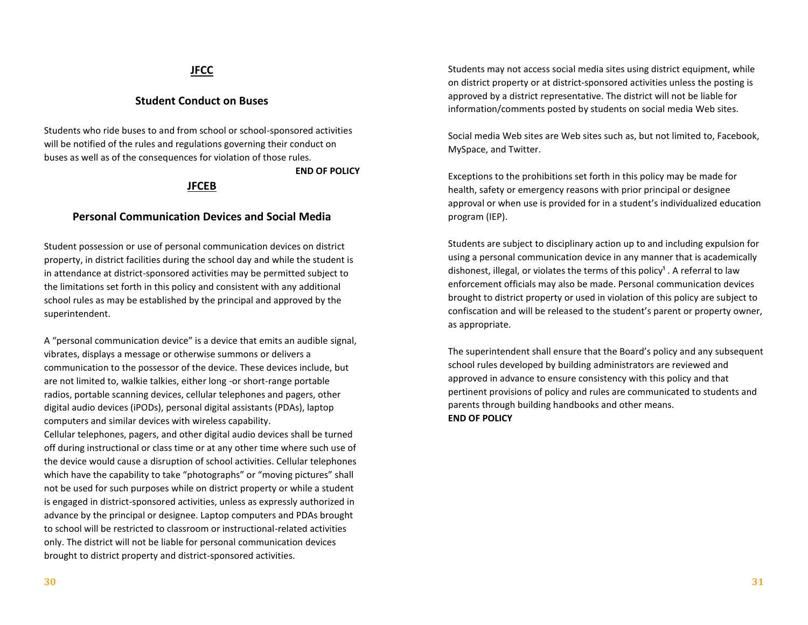# **JFCC**

# **Student Conduct on Buses**

Students who ride buses to and from school or school-sponsored activities will be notified of the rules and regulations governing their conduct on buses as well as of the consequences for violation of those rules.

## **END OF POLICY**

## **JFCEB**

## **Personal Communication Devices and Social Media**

Student possession or use of personal communication devices on district property, in district facilities during the school day and while the student is in attendance at district-sponsored activities may be permitted subject to the limitations set forth in this policy and consistent with any additional school rules as may be established by the principal and approved by the superintendent.

A "personal communication device" is a device that emits an audible signal, vibrates, displays a message or otherwise summons or delivers a communication to the possessor of the device. These devices include, but are not limited to, walkie talkies, either long -or short-range portable radios, portable scanning devices, cellular telephones and pagers, other digital audio devices (iPODs), personal digital assistants (PDAs), laptop computers and similar devices with wireless capability.

Cellular telephones, pagers, and other digital audio devices shall be turned off during instructional or class time or at any other time where such use of the device would cause a disruption of school activities. Cellular telephones which have the capability to take "photographs" or "moving pictures" shall not be used for such purposes while on district property or while a student is engaged in district-sponsored activities, unless as expressly authorized in advance by the principal or designee. Laptop computers and PDAs brought to school will be restricted to classroom or instructional-related activities only. The district will not be liable for personal communication devices brought to district property and district-sponsored activities.

Students may not access social media sites using district equipment, while on district property or at district-sponsored activities unless the posting is approved by a district representative. The district will not be liable for information/comments posted by students on social media Web sites.

Social media Web sites are Web sites such as, but not limited to, Facebook, MySpace, and Twitter.

Exceptions to the prohibitions set forth in this policy may be made for health, safety or emergency reasons with prior principal or designee approval or when use is provided for in a student's individualized education program (IEP).

Students are subject to disciplinary action up to and including expulsion for using a personal communication device in any manner that is academically dishonest, illegal, or violates the terms of this policy<sup>1</sup>. A referral to law enforcement officials may also be made. Personal communication devices brought to district property or used in violation of this policy are subject to confiscation and will be released to the student's parent or property owner, as appropriate.

The superintendent shall ensure that the Board's policy and any subsequent school rules developed by building administrators are reviewed and approved in advance to ensure consistency with this policy and that pertinent provisions of policy and rules are communicated to students and parents through building handbooks and other means. **END OF POLICY**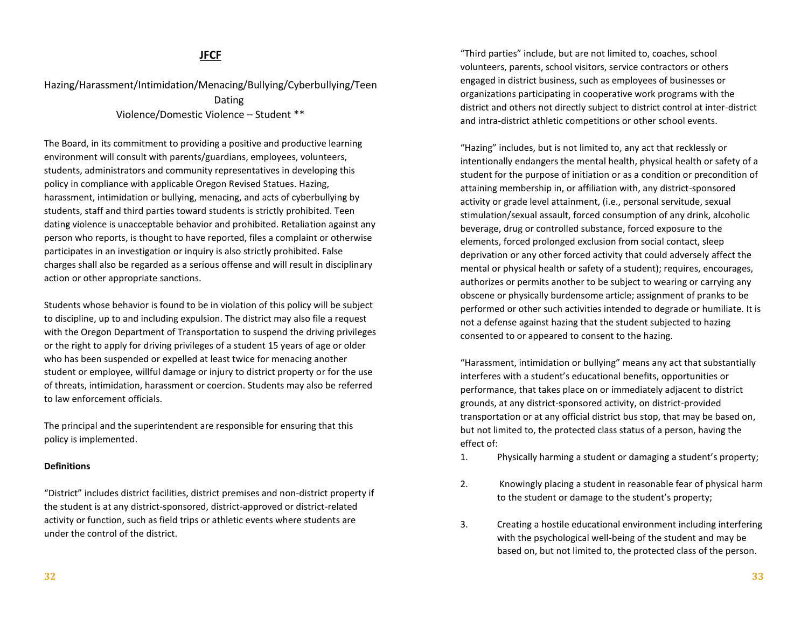# **JFCF**

Hazing/Harassment/Intimidation/Menacing/Bullying/Cyberbullying/Teen Dating Violence/Domestic Violence – Student \*\*

The Board, in its commitment to providing a positive and productive learning environment will consult with parents/guardians, employees, volunteers, students, administrators and community representatives in developing this policy in compliance with applicable Oregon Revised Statues. Hazing, harassment, intimidation or bullying, menacing, and acts of cyberbullying by students, staff and third parties toward students is strictly prohibited. Teen dating violence is unacceptable behavior and prohibited. Retaliation against any person who reports, is thought to have reported, files a complaint or otherwise participates in an investigation or inquiry is also strictly prohibited. False charges shall also be regarded as a serious offense and will result in disciplinary action or other appropriate sanctions.

Students whose behavior is found to be in violation of this policy will be subject to discipline, up to and including expulsion. The district may also file a request with the Oregon Department of Transportation to suspend the driving privileges or the right to apply for driving privileges of a student 15 years of age or older who has been suspended or expelled at least twice for menacing another student or employee, willful damage or injury to district property or for the use of threats, intimidation, harassment or coercion. Students may also be referred to law enforcement officials.

The principal and the superintendent are responsible for ensuring that this policy is implemented.

#### **Definitions**

"District" includes district facilities, district premises and non-district property if the student is at any district-sponsored, district-approved or district-related activity or function, such as field trips or athletic events where students are under the control of the district.

"Third parties" include, but are not limited to, coaches, school volunteers, parents, school visitors, service contractors or others engaged in district business, such as employees of businesses or organizations participating in cooperative work programs with the district and others not directly subject to district control at inter-district and intra-district athletic competitions or other school events.

"Hazing" includes, but is not limited to, any act that recklessly or intentionally endangers the mental health, physical health or safety of a student for the purpose of initiation or as a condition or precondition of attaining membership in, or affiliation with, any district-sponsored activity or grade level attainment, (i.e., personal servitude, sexual stimulation/sexual assault, forced consumption of any drink, alcoholic beverage, drug or controlled substance, forced exposure to the elements, forced prolonged exclusion from social contact, sleep deprivation or any other forced activity that could adversely affect the mental or physical health or safety of a student); requires, encourages, authorizes or permits another to be subject to wearing or carrying any obscene or physically burdensome article; assignment of pranks to be performed or other such activities intended to degrade or humiliate. It is not a defense against hazing that the student subjected to hazing consented to or appeared to consent to the hazing.

"Harassment, intimidation or bullying" means any act that substantially interferes with a student's educational benefits, opportunities or performance, that takes place on or immediately adjacent to district grounds, at any district-sponsored activity, on district-provided transportation or at any official district bus stop, that may be based on, but not limited to, the protected class status of a person, having the effect of:

- 1. Physically harming a student or damaging a student's property;
- 2. Knowingly placing a student in reasonable fear of physical harm to the student or damage to the student's property;
- 3. Creating a hostile educational environment including interfering with the psychological well-being of the student and may be based on, but not limited to, the protected class of the person.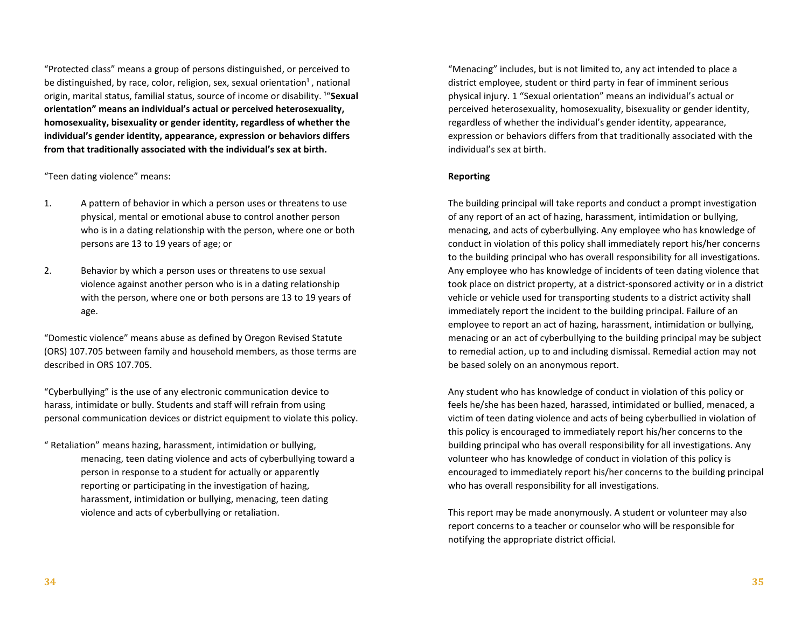"Protected class" means a group of persons distinguished, or perceived to be distinguished, by race, color, religion, sex, sexual orientation<sup>1</sup>, national origin, marital status, familial status, source of income or disability. <sup>1</sup>"Sexual **orientation" means an individual's actual or perceived heterosexuality, homosexuality, bisexuality or gender identity, regardless of whether the individual's gender identity, appearance, expression or behaviors differs from that traditionally associated with the individual's sex at birth.**

"Teen dating violence" means:

- 1. A pattern of behavior in which a person uses or threatens to use physical, mental or emotional abuse to control another person who is in a dating relationship with the person, where one or both persons are 13 to 19 years of age; or
- 2. Behavior by which a person uses or threatens to use sexual violence against another person who is in a dating relationship with the person, where one or both persons are 13 to 19 years of age.

"Domestic violence" means abuse as defined by Oregon Revised Statute (ORS) 107.705 between family and household members, as those terms are described in ORS 107.705.

"Cyberbullying" is the use of any electronic communication device to harass, intimidate or bully. Students and staff will refrain from using personal communication devices or district equipment to violate this policy.

" Retaliation" means hazing, harassment, intimidation or bullying, menacing, teen dating violence and acts of cyberbullying toward a person in response to a student for actually or apparently reporting or participating in the investigation of hazing, harassment, intimidation or bullying, menacing, teen dating violence and acts of cyberbullying or retaliation.

"Menacing" includes, but is not limited to, any act intended to place a district employee, student or third party in fear of imminent serious physical injury. 1 "Sexual orientation" means an individual's actual or perceived heterosexuality, homosexuality, bisexuality or gender identity, regardless of whether the individual's gender identity, appearance, expression or behaviors differs from that traditionally associated with the individual's sex at birth.

#### **Reporting**

The building principal will take reports and conduct a prompt investigation of any report of an act of hazing, harassment, intimidation or bullying, menacing, and acts of cyberbullying. Any employee who has knowledge of conduct in violation of this policy shall immediately report his/her concerns to the building principal who has overall responsibility for all investigations. Any employee who has knowledge of incidents of teen dating violence that took place on district property, at a district-sponsored activity or in a district vehicle or vehicle used for transporting students to a district activity shall immediately report the incident to the building principal. Failure of an employee to report an act of hazing, harassment, intimidation or bullying, menacing or an act of cyberbullying to the building principal may be subject to remedial action, up to and including dismissal. Remedial action may not be based solely on an anonymous report.

Any student who has knowledge of conduct in violation of this policy or feels he/she has been hazed, harassed, intimidated or bullied, menaced, a victim of teen dating violence and acts of being cyberbullied in violation of this policy is encouraged to immediately report his/her concerns to the building principal who has overall responsibility for all investigations. Any volunteer who has knowledge of conduct in violation of this policy is encouraged to immediately report his/her concerns to the building principal who has overall responsibility for all investigations.

This report may be made anonymously. A student or volunteer may also report concerns to a teacher or counselor who will be responsible for notifying the appropriate district official.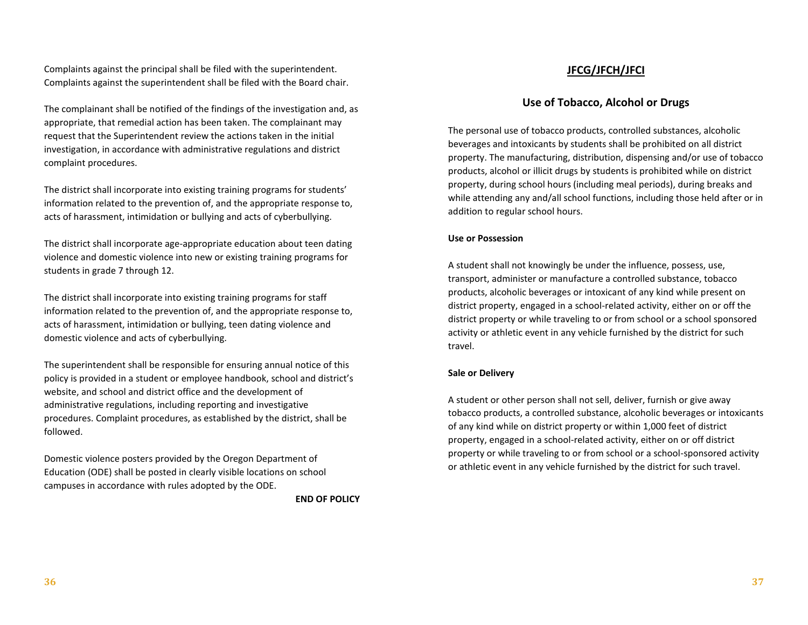Complaints against the principal shall be filed with the superintendent. Complaints against the superintendent shall be filed with the Board chair.

The complainant shall be notified of the findings of the investigation and, as appropriate, that remedial action has been taken. The complainant may request that the Superintendent review the actions taken in the initial investigation, in accordance with administrative regulations and district complaint procedures.

The district shall incorporate into existing training programs for students' information related to the prevention of, and the appropriate response to, acts of harassment, intimidation or bullying and acts of cyberbullying.

The district shall incorporate age-appropriate education about teen dating violence and domestic violence into new or existing training programs for students in grade 7 through 12.

The district shall incorporate into existing training programs for staff information related to the prevention of, and the appropriate response to, acts of harassment, intimidation or bullying, teen dating violence and domestic violence and acts of cyberbullying.

The superintendent shall be responsible for ensuring annual notice of this policy is provided in a student or employee handbook, school and district's website, and school and district office and the development of administrative regulations, including reporting and investigative procedures. Complaint procedures, as established by the district, shall be followed.

Domestic violence posters provided by the Oregon Department of Education (ODE) shall be posted in clearly visible locations on school campuses in accordance with rules adopted by the ODE.

**END OF POLICY**

# **JFCG/JFCH/JFCI**

# **Use of Tobacco, Alcohol or Drugs**

The personal use of tobacco products, controlled substances, alcoholic beverages and intoxicants by students shall be prohibited on all district property. The manufacturing, distribution, dispensing and/or use of tobacco products, alcohol or illicit drugs by students is prohibited while on district property, during school hours (including meal periods), during breaks and while attending any and/all school functions, including those held after or in addition to regular school hours.

#### **Use or Possession**

A student shall not knowingly be under the influence, possess, use, transport, administer or manufacture a controlled substance, tobacco products, alcoholic beverages or intoxicant of any kind while present on district property, engaged in a school-related activity, either on or off the district property or while traveling to or from school or a school sponsored activity or athletic event in any vehicle furnished by the district for such travel.

#### **Sale or Delivery**

A student or other person shall not sell, deliver, furnish or give away tobacco products, a controlled substance, alcoholic beverages or intoxicants of any kind while on district property or within 1,000 feet of district property, engaged in a school-related activity, either on or off district property or while traveling to or from school or a school-sponsored activity or athletic event in any vehicle furnished by the district for such travel.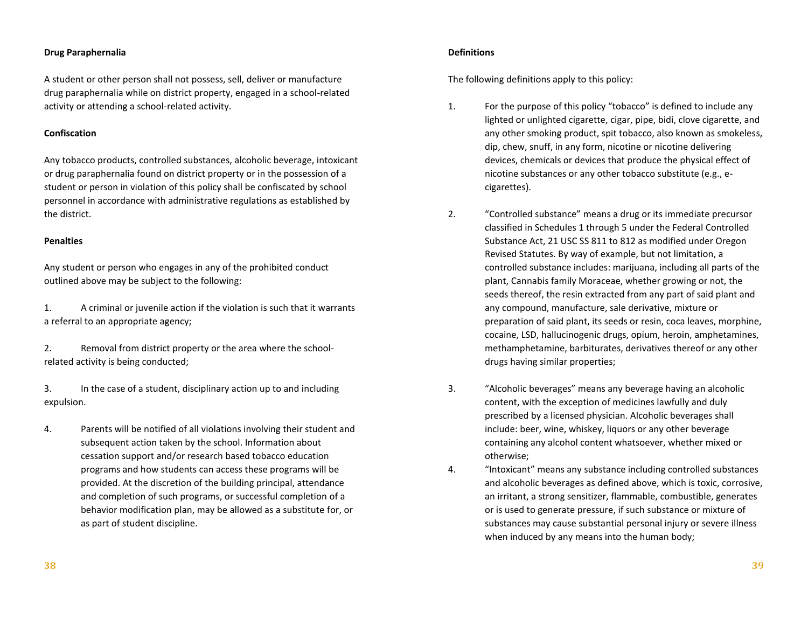#### **Drug Paraphernalia**

A student or other person shall not possess, sell, deliver or manufacture drug paraphernalia while on district property, engaged in a school-related activity or attending a school-related activity.

#### **Confiscation**

Any tobacco products, controlled substances, alcoholic beverage, intoxicant or drug paraphernalia found on district property or in the possession of a student or person in violation of this policy shall be confiscated by school personnel in accordance with administrative regulations as established by the district.

#### **Penalties**

Any student or person who engages in any of the prohibited conduct outlined above may be subject to the following:

1. A criminal or juvenile action if the violation is such that it warrants a referral to an appropriate agency;

2. Removal from district property or the area where the schoolrelated activity is being conducted;

3. In the case of a student, disciplinary action up to and including expulsion.

4. Parents will be notified of all violations involving their student and subsequent action taken by the school. Information about cessation support and/or research based tobacco education programs and how students can access these programs will be provided. At the discretion of the building principal, attendance and completion of such programs, or successful completion of a behavior modification plan, may be allowed as a substitute for, or as part of student discipline.

#### **Definitions**

The following definitions apply to this policy:

- 1. For the purpose of this policy "tobacco" is defined to include any lighted or unlighted cigarette, cigar, pipe, bidi, clove cigarette, and any other smoking product, spit tobacco, also known as smokeless, dip, chew, snuff, in any form, nicotine or nicotine delivering devices, chemicals or devices that produce the physical effect of nicotine substances or any other tobacco substitute (e.g., ecigarettes).
- 2. "Controlled substance" means a drug or its immediate precursor classified in Schedules 1 through 5 under the Federal Controlled Substance Act, 21 USC SS 811 to 812 as modified under Oregon Revised Statutes. By way of example, but not limitation, a controlled substance includes: marijuana, including all parts of the plant, Cannabis family Moraceae, whether growing or not, the seeds thereof, the resin extracted from any part of said plant and any compound, manufacture, sale derivative, mixture or preparation of said plant, its seeds or resin, coca leaves, morphine, cocaine, LSD, hallucinogenic drugs, opium, heroin, amphetamines, methamphetamine, barbiturates, derivatives thereof or any other drugs having similar properties;
- 3. "Alcoholic beverages" means any beverage having an alcoholic content, with the exception of medicines lawfully and duly prescribed by a licensed physician. Alcoholic beverages shall include: beer, wine, whiskey, liquors or any other beverage containing any alcohol content whatsoever, whether mixed or otherwise;
- 4. "Intoxicant" means any substance including controlled substances and alcoholic beverages as defined above, which is toxic, corrosive, an irritant, a strong sensitizer, flammable, combustible, generates or is used to generate pressure, if such substance or mixture of substances may cause substantial personal injury or severe illness when induced by any means into the human body;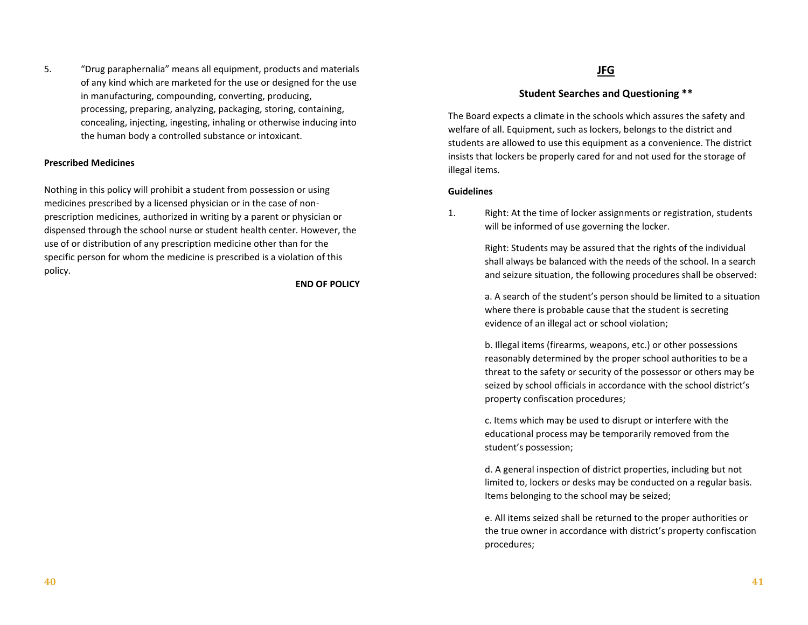5. "Drug paraphernalia" means all equipment, products and materials of any kind which are marketed for the use or designed for the use in manufacturing, compounding, converting, producing, processing, preparing, analyzing, packaging, storing, containing, concealing, injecting, ingesting, inhaling or otherwise inducing into the human body a controlled substance or intoxicant.

#### **Prescribed Medicines**

Nothing in this policy will prohibit a student from possession or using medicines prescribed by a licensed physician or in the case of nonprescription medicines, authorized in writing by a parent or physician or dispensed through the school nurse or student health center. However, the use of or distribution of any prescription medicine other than for the specific person for whom the medicine is prescribed is a violation of this policy.

**END OF POLICY**

# **JFG**

# **Student Searches and Questioning \*\***

The Board expects a climate in the schools which assures the safety and welfare of all. Equipment, such as lockers, belongs to the district and students are allowed to use this equipment as a convenience. The district insists that lockers be properly cared for and not used for the storage of illegal items.

#### **Guidelines**

1. Right: At the time of locker assignments or registration, students will be informed of use governing the locker.

> Right: Students may be assured that the rights of the individual shall always be balanced with the needs of the school. In a search and seizure situation, the following procedures shall be observed:

a. A search of the student's person should be limited to a situation where there is probable cause that the student is secreting evidence of an illegal act or school violation;

b. Illegal items (firearms, weapons, etc.) or other possessions reasonably determined by the proper school authorities to be a threat to the safety or security of the possessor or others may be seized by school officials in accordance with the school district's property confiscation procedures;

c. Items which may be used to disrupt or interfere with the educational process may be temporarily removed from the student's possession;

d. A general inspection of district properties, including but not limited to, lockers or desks may be conducted on a regular basis. Items belonging to the school may be seized;

e. All items seized shall be returned to the proper authorities or the true owner in accordance with district's property confiscation procedures;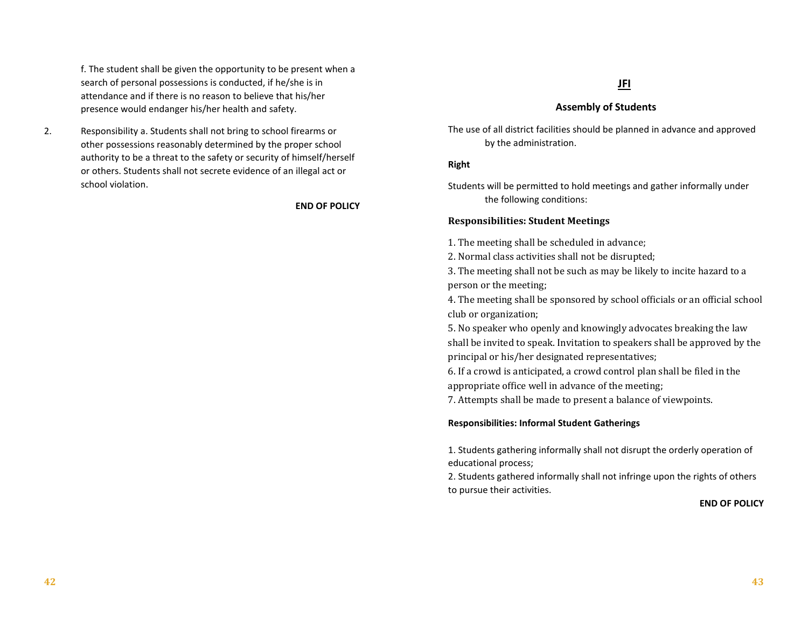f. The student shall be given the opportunity to be present when a search of personal possessions is conducted, if he/she is in attendance and if there is no reason to believe that his/her presence would endanger his/her health and safety.

2. Responsibility a. Students shall not bring to school firearms or other possessions reasonably determined by the proper school authority to be a threat to the safety or security of himself/herself or others. Students shall not secrete evidence of an illegal act or school violation.

**END OF POLICY**

# **JFI**

## **Assembly of Students**

The use of all district facilities should be planned in advance and approved by the administration.

## **Right**

Students will be permitted to hold meetings and gather informally under the following conditions:

## **Responsibilities: Student Meetings**

1. The meeting shall be scheduled in advance;

2. Normal class activities shall not be disrupted;

3. The meeting shall not be such as may be likely to incite hazard to a person or the meeting;

4. The meeting shall be sponsored by school officials or an official school club or organization;

5. No speaker who openly and knowingly advocates breaking the law shall be invited to speak. Invitation to speakers shall be approved by the principal or his/her designated representatives;

6. If a crowd is anticipated, a crowd control plan shall be filed in the appropriate office well in advance of the meeting;

7. Attempts shall be made to present a balance of viewpoints.

#### **Responsibilities: Informal Student Gatherings**

1. Students gathering informally shall not disrupt the orderly operation of educational process;

2. Students gathered informally shall not infringe upon the rights of others to pursue their activities.

#### **END OF POLICY**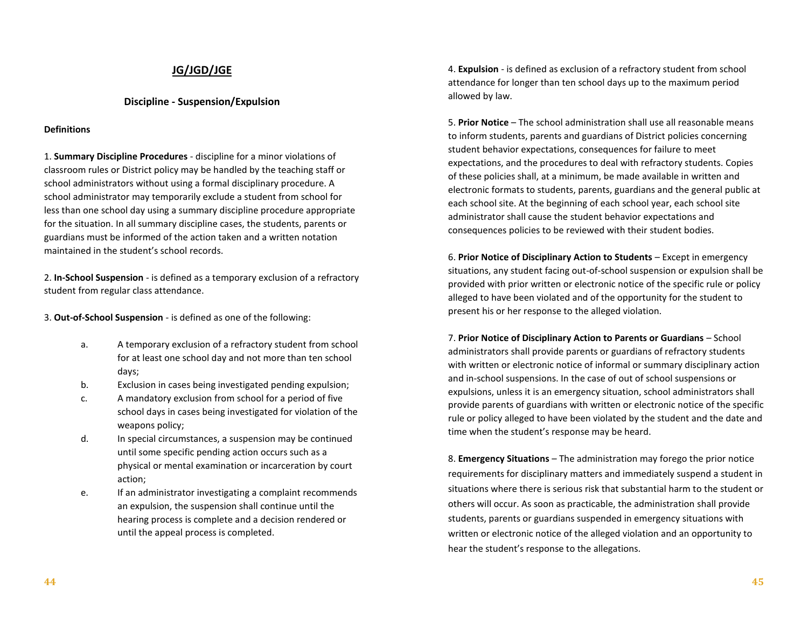# **JG/JGD/JGE**

## **Discipline - Suspension/Expulsion**

#### **Definitions**

1. **Summary Discipline Procedures** - discipline for a minor violations of classroom rules or District policy may be handled by the teaching staff or school administrators without using a formal disciplinary procedure. A school administrator may temporarily exclude a student from school for less than one school day using a summary discipline procedure appropriate for the situation. In all summary discipline cases, the students, parents or guardians must be informed of the action taken and a written notation maintained in the student's school records.

2. **In-School Suspension** - is defined as a temporary exclusion of a refractory student from regular class attendance.

3. **Out-of-School Suspension** - is defined as one of the following:

- a. A temporary exclusion of a refractory student from school for at least one school day and not more than ten school days;
- b. Exclusion in cases being investigated pending expulsion;
- c. A mandatory exclusion from school for a period of five school days in cases being investigated for violation of the weapons policy;
- d. In special circumstances, a suspension may be continued until some specific pending action occurs such as a physical or mental examination or incarceration by court action;
- e. If an administrator investigating a complaint recommends an expulsion, the suspension shall continue until the hearing process is complete and a decision rendered or until the appeal process is completed.

4. **Expulsion** - is defined as exclusion of a refractory student from school attendance for longer than ten school days up to the maximum period allowed by law.

5. **Prior Notice** – The school administration shall use all reasonable means to inform students, parents and guardians of District policies concerning student behavior expectations, consequences for failure to meet expectations, and the procedures to deal with refractory students. Copies of these policies shall, at a minimum, be made available in written and electronic formats to students, parents, guardians and the general public at each school site. At the beginning of each school year, each school site administrator shall cause the student behavior expectations and consequences policies to be reviewed with their student bodies.

6. **Prior Notice of Disciplinary Action to Students** – Except in emergency situations, any student facing out-of-school suspension or expulsion shall be provided with prior written or electronic notice of the specific rule or policy alleged to have been violated and of the opportunity for the student to present his or her response to the alleged violation.

7. **Prior Notice of Disciplinary Action to Parents or Guardians** – School administrators shall provide parents or guardians of refractory students with written or electronic notice of informal or summary disciplinary action and in-school suspensions. In the case of out of school suspensions or expulsions, unless it is an emergency situation, school administrators shall provide parents of guardians with written or electronic notice of the specific rule or policy alleged to have been violated by the student and the date and time when the student's response may be heard.

8. **Emergency Situations** – The administration may forego the prior notice requirements for disciplinary matters and immediately suspend a student in situations where there is serious risk that substantial harm to the student or others will occur. As soon as practicable, the administration shall provide students, parents or guardians suspended in emergency situations with written or electronic notice of the alleged violation and an opportunity to hear the student's response to the allegations.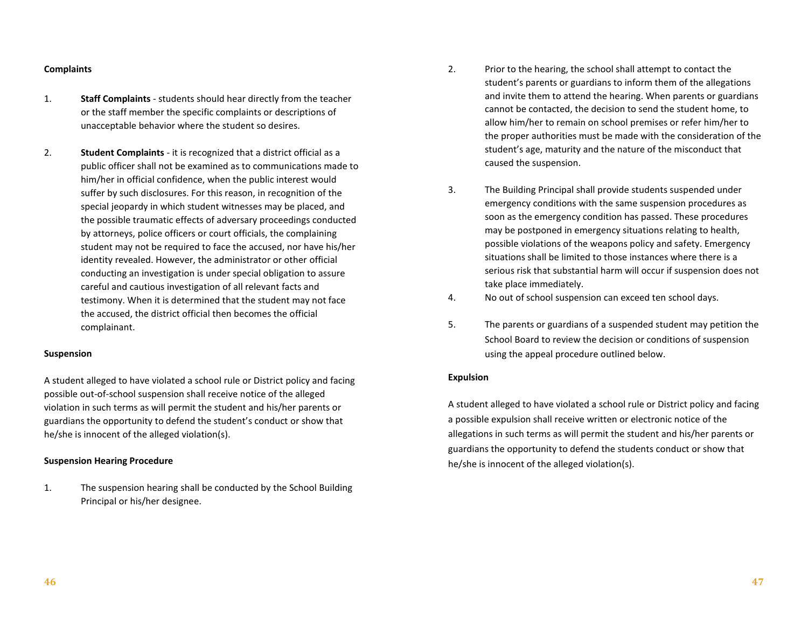#### **Complaints**

- 1. **Staff Complaints** students should hear directly from the teacher or the staff member the specific complaints or descriptions of unacceptable behavior where the student so desires.
- 2. **Student Complaints** it is recognized that a district official as a public officer shall not be examined as to communications made to him/her in official confidence, when the public interest would suffer by such disclosures. For this reason, in recognition of the special jeopardy in which student witnesses may be placed, and the possible traumatic effects of adversary proceedings conducted by attorneys, police officers or court officials, the complaining student may not be required to face the accused, nor have his/her identity revealed. However, the administrator or other official conducting an investigation is under special obligation to assure careful and cautious investigation of all relevant facts and testimony. When it is determined that the student may not face the accused, the district official then becomes the official complainant.

#### **Suspension**

A student alleged to have violated a school rule or District policy and facing possible out-of-school suspension shall receive notice of the alleged violation in such terms as will permit the student and his/her parents or guardians the opportunity to defend the student's conduct or show that he/she is innocent of the alleged violation(s).

#### **Suspension Hearing Procedure**

1. The suspension hearing shall be conducted by the School Building Principal or his/her designee.

- 2. Prior to the hearing, the school shall attempt to contact the student's parents or guardians to inform them of the allegations and invite them to attend the hearing. When parents or guardians cannot be contacted, the decision to send the student home, to allow him/her to remain on school premises or refer him/her to the proper authorities must be made with the consideration of the student's age, maturity and the nature of the misconduct that caused the suspension.
- 3. The Building Principal shall provide students suspended under emergency conditions with the same suspension procedures as soon as the emergency condition has passed. These procedures may be postponed in emergency situations relating to health, possible violations of the weapons policy and safety. Emergency situations shall be limited to those instances where there is a serious risk that substantial harm will occur if suspension does not take place immediately.
- 4. No out of school suspension can exceed ten school days.
- 5. The parents or guardians of a suspended student may petition the School Board to review the decision or conditions of suspension using the appeal procedure outlined below.

#### **Expulsion**

A student alleged to have violated a school rule or District policy and facing a possible expulsion shall receive written or electronic notice of the allegations in such terms as will permit the student and his/her parents or guardians the opportunity to defend the students conduct or show that he/she is innocent of the alleged violation(s).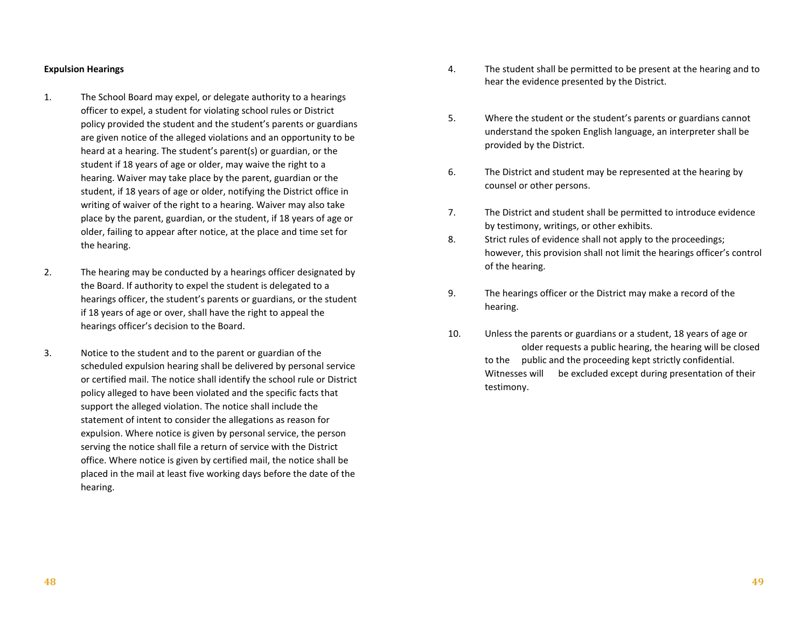#### **Expulsion Hearings**

- 1. The School Board may expel, or delegate authority to a hearings officer to expel, a student for violating school rules or District policy provided the student and the student's parents or guardians are given notice of the alleged violations and an opportunity to be heard at a hearing. The student's parent(s) or guardian, or the student if 18 years of age or older, may waive the right to a hearing. Waiver may take place by the parent, guardian or the student, if 18 years of age or older, notifying the District office in writing of waiver of the right to a hearing. Waiver may also take place by the parent, guardian, or the student, if 18 years of age or older, failing to appear after notice, at the place and time set for the hearing.
- 2. The hearing may be conducted by a hearings officer designated by the Board. If authority to expel the student is delegated to a hearings officer, the student's parents or guardians, or the student if 18 years of age or over, shall have the right to appeal the hearings officer's decision to the Board.
- 3. Notice to the student and to the parent or guardian of the scheduled expulsion hearing shall be delivered by personal service or certified mail. The notice shall identify the school rule or District policy alleged to have been violated and the specific facts that support the alleged violation. The notice shall include the statement of intent to consider the allegations as reason for expulsion. Where notice is given by personal service, the person serving the notice shall file a return of service with the District office. Where notice is given by certified mail, the notice shall be placed in the mail at least five working days before the date of the hearing.
- 4. The student shall be permitted to be present at the hearing and to hear the evidence presented by the District.
- 5. Where the student or the student's parents or guardians cannot understand the spoken English language, an interpreter shall be provided by the District.
- 6. The District and student may be represented at the hearing by counsel or other persons.
- 7. The District and student shall be permitted to introduce evidence by testimony, writings, or other exhibits.
- 8. Strict rules of evidence shall not apply to the proceedings; however, this provision shall not limit the hearings officer's control of the hearing.
- 9. The hearings officer or the District may make a record of the hearing.
- 10. Unless the parents or guardians or a student, 18 years of age or older requests a public hearing, the hearing will be closed to the public and the proceeding kept strictly confidential. Witnesses will be excluded except during presentation of their testimony.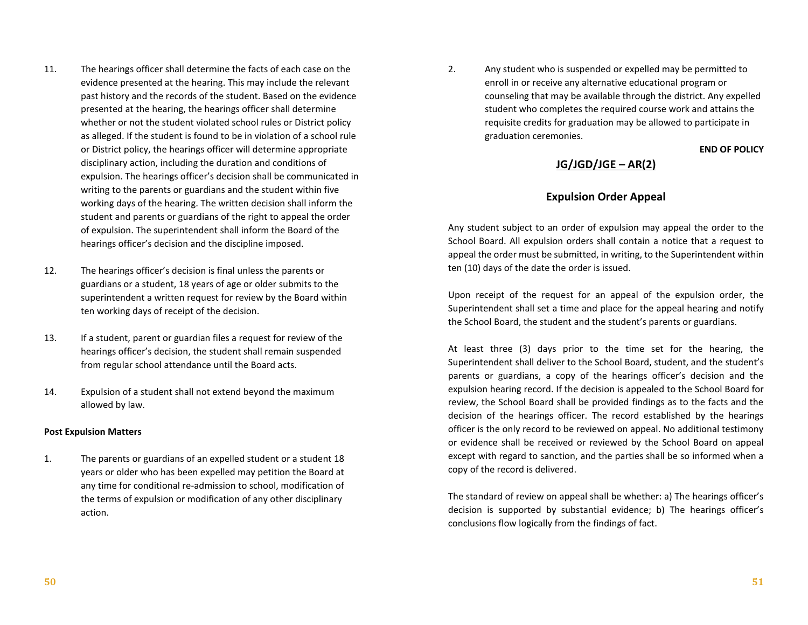- 11. The hearings officer shall determine the facts of each case on the evidence presented at the hearing. This may include the relevant past history and the records of the student. Based on the evidence presented at the hearing, the hearings officer shall determine whether or not the student violated school rules or District policy as alleged. If the student is found to be in violation of a school rule or District policy, the hearings officer will determine appropriate disciplinary action, including the duration and conditions of expulsion. The hearings officer's decision shall be communicated in writing to the parents or guardians and the student within five working days of the hearing. The written decision shall inform the student and parents or guardians of the right to appeal the order of expulsion. The superintendent shall inform the Board of the hearings officer's decision and the discipline imposed.
- 12. The hearings officer's decision is final unless the parents or guardians or a student, 18 years of age or older submits to the superintendent a written request for review by the Board within ten working days of receipt of the decision.
- 13. If a student, parent or guardian files a request for review of the hearings officer's decision, the student shall remain suspended from regular school attendance until the Board acts.
- 14. Expulsion of a student shall not extend beyond the maximum allowed by law.

#### **Post Expulsion Matters**

1. The parents or guardians of an expelled student or a student 18 years or older who has been expelled may petition the Board at any time for conditional re-admission to school, modification of the terms of expulsion or modification of any other disciplinary action.

2. Any student who is suspended or expelled may be permitted to enroll in or receive any alternative educational program or counseling that may be available through the district. Any expelled student who completes the required course work and attains the requisite credits for graduation may be allowed to participate in graduation ceremonies.

#### **END OF POLICY**

# **JG/JGD/JGE – AR(2)**

# **Expulsion Order Appeal**

Any student subject to an order of expulsion may appeal the order to the School Board. All expulsion orders shall contain a notice that a request to appeal the order must be submitted, in writing, to the Superintendent within ten (10) days of the date the order is issued.

Upon receipt of the request for an appeal of the expulsion order, the Superintendent shall set a time and place for the appeal hearing and notify the School Board, the student and the student's parents or guardians.

At least three (3) days prior to the time set for the hearing, the Superintendent shall deliver to the School Board, student, and the student's parents or guardians, a copy of the hearings officer's decision and the expulsion hearing record. If the decision is appealed to the School Board for review, the School Board shall be provided findings as to the facts and the decision of the hearings officer. The record established by the hearings officer is the only record to be reviewed on appeal. No additional testimony or evidence shall be received or reviewed by the School Board on appeal except with regard to sanction, and the parties shall be so informed when a copy of the record is delivered.

The standard of review on appeal shall be whether: a) The hearings officer's decision is supported by substantial evidence; b) The hearings officer's conclusions flow logically from the findings of fact.